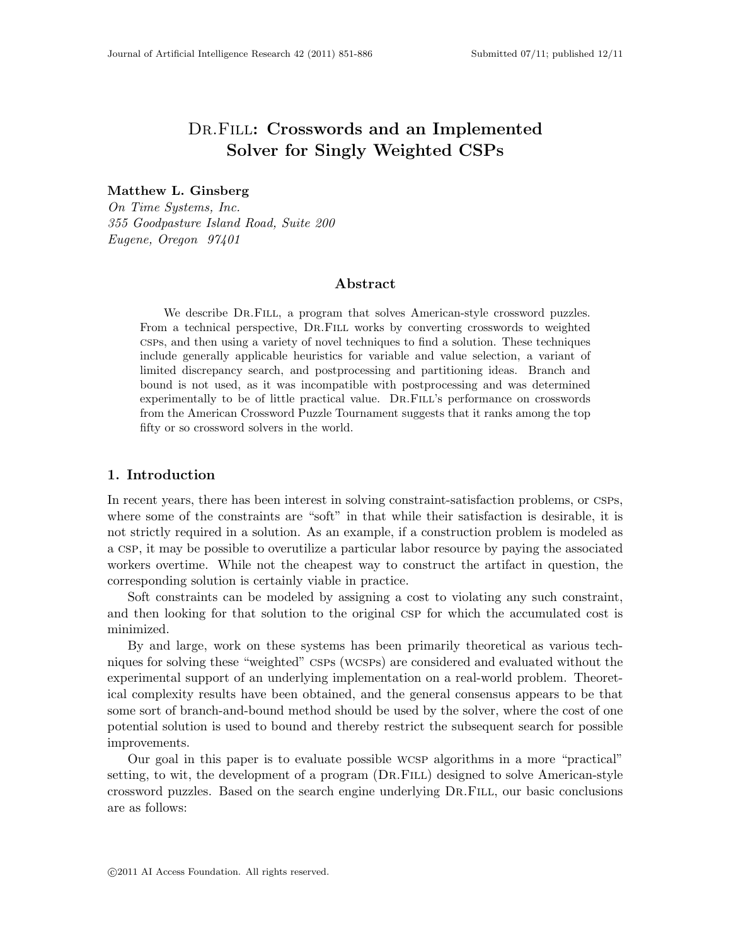# DR.FILL: Crosswords and an Implemented Solver for Singly Weighted CSPs

Matthew L. Ginsberg

On Time Systems, Inc. 355 Goodpasture Island Road, Suite 200 Eugene, Oregon 97401

## Abstract

We describe DR.FILL, a program that solves American-style crossword puzzles. From a technical perspective, Dr.Fill works by converting crosswords to weighted csps, and then using a variety of novel techniques to find a solution. These techniques include generally applicable heuristics for variable and value selection, a variant of limited discrepancy search, and postprocessing and partitioning ideas. Branch and bound is not used, as it was incompatible with postprocessing and was determined experimentally to be of little practical value. Dr.Fill's performance on crosswords from the American Crossword Puzzle Tournament suggests that it ranks among the top fifty or so crossword solvers in the world.

## 1. Introduction

In recent years, there has been interest in solving constraint-satisfaction problems, or csps, where some of the constraints are "soft" in that while their satisfaction is desirable, it is not strictly required in a solution. As an example, if a construction problem is modeled as a csp, it may be possible to overutilize a particular labor resource by paying the associated workers overtime. While not the cheapest way to construct the artifact in question, the corresponding solution is certainly viable in practice.

Soft constraints can be modeled by assigning a cost to violating any such constraint, and then looking for that solution to the original csp for which the accumulated cost is minimized.

By and large, work on these systems has been primarily theoretical as various techniques for solving these "weighted" csps (wcsps) are considered and evaluated without the experimental support of an underlying implementation on a real-world problem. Theoretical complexity results have been obtained, and the general consensus appears to be that some sort of branch-and-bound method should be used by the solver, where the cost of one potential solution is used to bound and thereby restrict the subsequent search for possible improvements.

Our goal in this paper is to evaluate possible wcsp algorithms in a more "practical" setting, to wit, the development of a program (DR.FILL) designed to solve American-style crossword puzzles. Based on the search engine underlying Dr.Fill, our basic conclusions are as follows: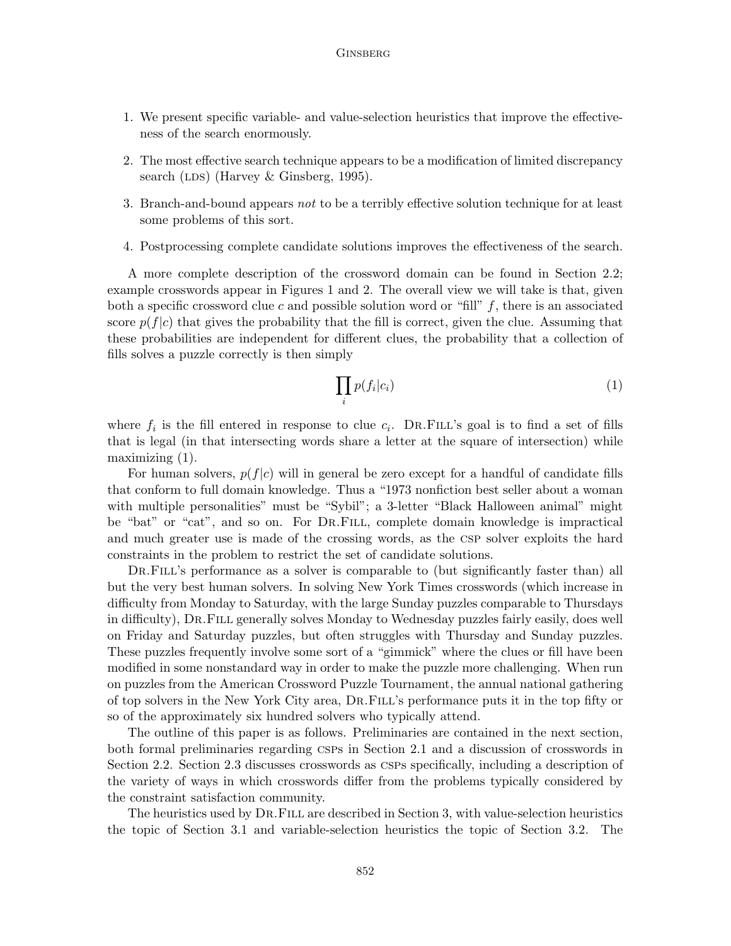- 1. We present specific variable- and value-selection heuristics that improve the effectiveness of the search enormously.
- 2. The most effective search technique appears to be a modification of limited discrepancy search (LDS) (Harvey  $\&$  Ginsberg, 1995).
- 3. Branch-and-bound appears not to be a terribly effective solution technique for at least some problems of this sort.
- 4. Postprocessing complete candidate solutions improves the effectiveness of the search.

A more complete description of the crossword domain can be found in Section 2.2; example crosswords appear in Figures 1 and 2. The overall view we will take is that, given both a specific crossword clue c and possible solution word or "fill"  $f$ , there is an associated score  $p(f|c)$  that gives the probability that the fill is correct, given the clue. Assuming that these probabilities are independent for different clues, the probability that a collection of fills solves a puzzle correctly is then simply

$$
\prod_i p(f_i|c_i) \tag{1}
$$

where  $f_i$  is the fill entered in response to clue  $c_i$ . DR.FILL's goal is to find a set of fills that is legal (in that intersecting words share a letter at the square of intersection) while maximizing (1).

For human solvers,  $p(f|c)$  will in general be zero except for a handful of candidate fills that conform to full domain knowledge. Thus a "1973 nonfiction best seller about a woman with multiple personalities" must be "Sybil"; a 3-letter "Black Halloween animal" might be "bat" or "cat", and so on. For Dr.Fill, complete domain knowledge is impractical and much greater use is made of the crossing words, as the CSP solver exploits the hard constraints in the problem to restrict the set of candidate solutions.

DR. FILL's performance as a solver is comparable to (but significantly faster than) all but the very best human solvers. In solving New York Times crosswords (which increase in difficulty from Monday to Saturday, with the large Sunday puzzles comparable to Thursdays in difficulty), Dr.Fill generally solves Monday to Wednesday puzzles fairly easily, does well on Friday and Saturday puzzles, but often struggles with Thursday and Sunday puzzles. These puzzles frequently involve some sort of a "gimmick" where the clues or fill have been modified in some nonstandard way in order to make the puzzle more challenging. When run on puzzles from the American Crossword Puzzle Tournament, the annual national gathering of top solvers in the New York City area, Dr.Fill's performance puts it in the top fifty or so of the approximately six hundred solvers who typically attend.

The outline of this paper is as follows. Preliminaries are contained in the next section, both formal preliminaries regarding csps in Section 2.1 and a discussion of crosswords in Section 2.2. Section 2.3 discusses crosswords as csps specifically, including a description of the variety of ways in which crosswords differ from the problems typically considered by the constraint satisfaction community.

The heuristics used by Dr.Fill are described in Section 3, with value-selection heuristics the topic of Section 3.1 and variable-selection heuristics the topic of Section 3.2. The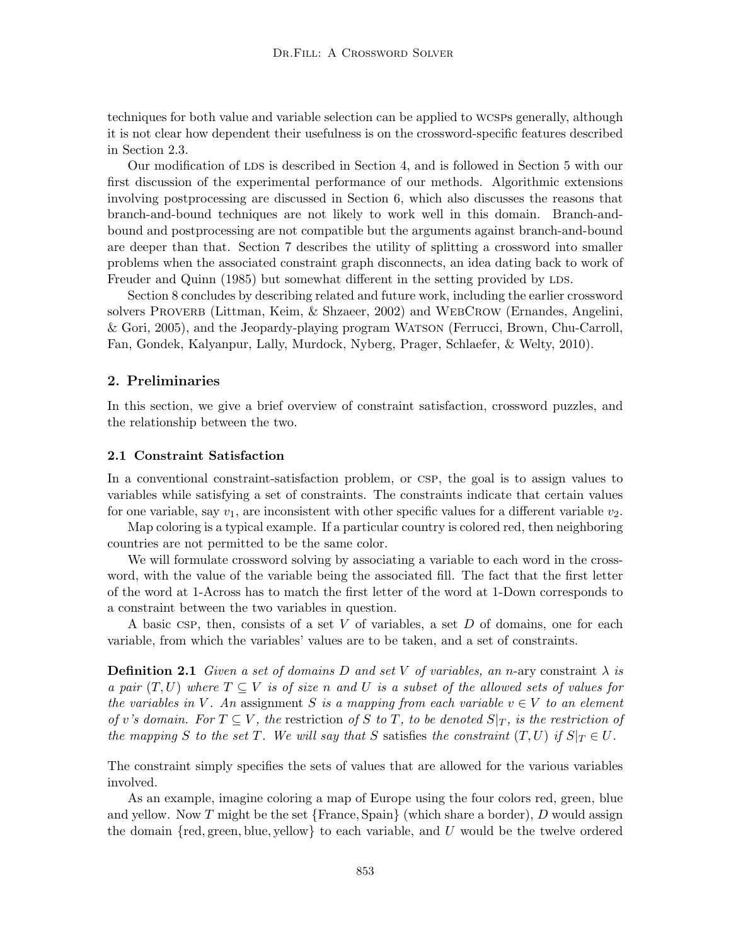techniques for both value and variable selection can be applied to wcsps generally, although it is not clear how dependent their usefulness is on the crossword-specific features described in Section 2.3.

Our modification of LDS is described in Section 4, and is followed in Section 5 with our first discussion of the experimental performance of our methods. Algorithmic extensions involving postprocessing are discussed in Section 6, which also discusses the reasons that branch-and-bound techniques are not likely to work well in this domain. Branch-andbound and postprocessing are not compatible but the arguments against branch-and-bound are deeper than that. Section 7 describes the utility of splitting a crossword into smaller problems when the associated constraint graph disconnects, an idea dating back to work of Freuder and Quinn (1985) but somewhat different in the setting provided by LDS.

Section 8 concludes by describing related and future work, including the earlier crossword solvers Proverb (Littman, Keim, & Shzaeer, 2002) and WebCrow (Ernandes, Angelini, & Gori, 2005), and the Jeopardy-playing program Watson (Ferrucci, Brown, Chu-Carroll, Fan, Gondek, Kalyanpur, Lally, Murdock, Nyberg, Prager, Schlaefer, & Welty, 2010).

## 2. Preliminaries

In this section, we give a brief overview of constraint satisfaction, crossword puzzles, and the relationship between the two.

### 2.1 Constraint Satisfaction

In a conventional constraint-satisfaction problem, or csp, the goal is to assign values to variables while satisfying a set of constraints. The constraints indicate that certain values for one variable, say  $v_1$ , are inconsistent with other specific values for a different variable  $v_2$ .

Map coloring is a typical example. If a particular country is colored red, then neighboring countries are not permitted to be the same color.

We will formulate crossword solving by associating a variable to each word in the crossword, with the value of the variable being the associated fill. The fact that the first letter of the word at 1-Across has to match the first letter of the word at 1-Down corresponds to a constraint between the two variables in question.

A basic CSP, then, consists of a set  $V$  of variables, a set  $D$  of domains, one for each variable, from which the variables' values are to be taken, and a set of constraints.

**Definition 2.1** Given a set of domains D and set V of variables, an n-ary constraint  $\lambda$  is a pair  $(T, U)$  where  $T \subseteq V$  is of size n and U is a subset of the allowed sets of values for the variables in V. An assignment S is a mapping from each variable  $v \in V$  to an element of v's domain. For  $T \subseteq V$ , the restriction of S to T, to be denoted  $S|_T$ , is the restriction of the mapping S to the set T. We will say that S satisfies the constraint  $(T, U)$  if  $S|_T \in U$ .

The constraint simply specifies the sets of values that are allowed for the various variables involved.

As an example, imagine coloring a map of Europe using the four colors red, green, blue and yellow. Now T might be the set  ${France, Spain}$  (which share a border), D would assign the domain  $\{red, green, blue, yellow\}$  to each variable, and U would be the twelve ordered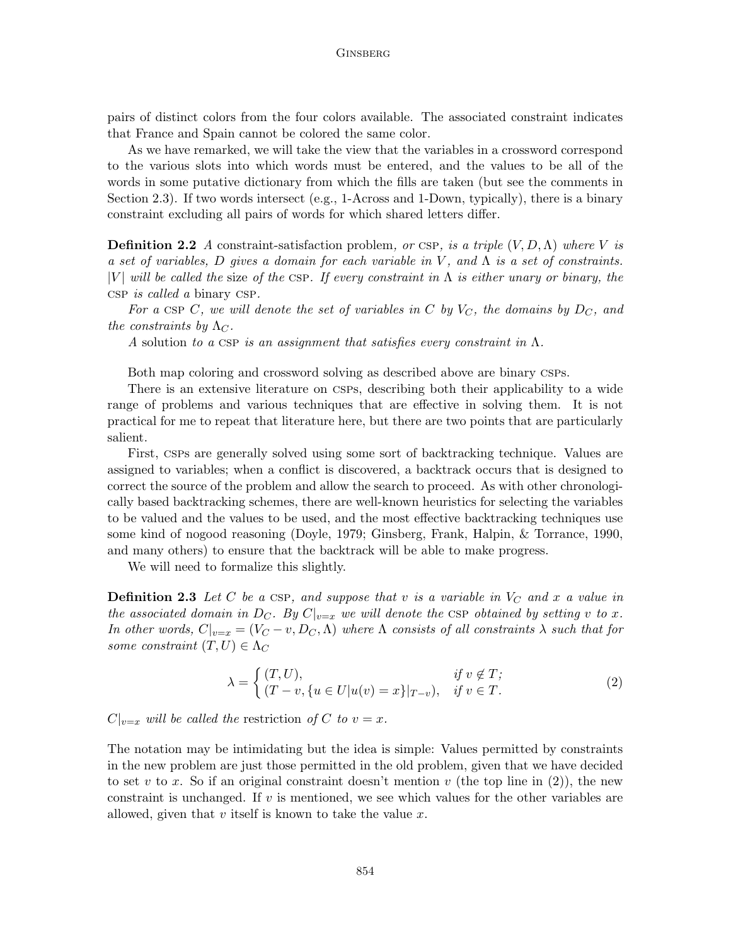pairs of distinct colors from the four colors available. The associated constraint indicates that France and Spain cannot be colored the same color.

As we have remarked, we will take the view that the variables in a crossword correspond to the various slots into which words must be entered, and the values to be all of the words in some putative dictionary from which the fills are taken (but see the comments in Section 2.3). If two words intersect (e.g., 1-Across and 1-Down, typically), there is a binary constraint excluding all pairs of words for which shared letters differ.

**Definition 2.2** A constraint-satisfaction problem, or CSP, is a triple  $(V, D, \Lambda)$  where V is a set of variables, D gives a domain for each variable in V, and  $\Lambda$  is a set of constraints.  $|V|$  will be called the size of the CSP. If every constraint in  $\Lambda$  is either unary or binary, the csp is called a binary csp.

For a CSP C, we will denote the set of variables in C by  $V_C$ , the domains by  $D_C$ , and the constraints by  $\Lambda_C$ .

A solution to a CSP is an assignment that satisfies every constraint in  $\Lambda$ .

Both map coloring and crossword solving as described above are binary csps.

There is an extensive literature on csps, describing both their applicability to a wide range of problems and various techniques that are effective in solving them. It is not practical for me to repeat that literature here, but there are two points that are particularly salient.

First, csps are generally solved using some sort of backtracking technique. Values are assigned to variables; when a conflict is discovered, a backtrack occurs that is designed to correct the source of the problem and allow the search to proceed. As with other chronologically based backtracking schemes, there are well-known heuristics for selecting the variables to be valued and the values to be used, and the most effective backtracking techniques use some kind of nogood reasoning (Doyle, 1979; Ginsberg, Frank, Halpin, & Torrance, 1990, and many others) to ensure that the backtrack will be able to make progress.

We will need to formalize this slightly.

**Definition 2.3** Let C be a CSP, and suppose that v is a variable in  $V_C$  and x a value in the associated domain in  $D_C$ . By  $C|_{v=x}$  we will denote the CSP obtained by setting v to x. In other words,  $C|_{v=x} = (V_C - v, D_C, \Lambda)$  where  $\Lambda$  consists of all constraints  $\lambda$  such that for some constraint  $(T, U) \in \Lambda_C$ 

$$
\lambda = \begin{cases}\n(T, U), & \text{if } v \notin T; \\
(T - v, \{u \in U | u(v) = x\}|_{T - v}), & \text{if } v \in T.\n\end{cases}
$$
\n(2)

 $C|_{v=x}$  will be called the restriction of C to  $v=x$ .

The notation may be intimidating but the idea is simple: Values permitted by constraints in the new problem are just those permitted in the old problem, given that we have decided to set v to x. So if an original constraint doesn't mention v (the top line in  $(2)$ ), the new constraint is unchanged. If  $v$  is mentioned, we see which values for the other variables are allowed, given that  $v$  itself is known to take the value  $x$ .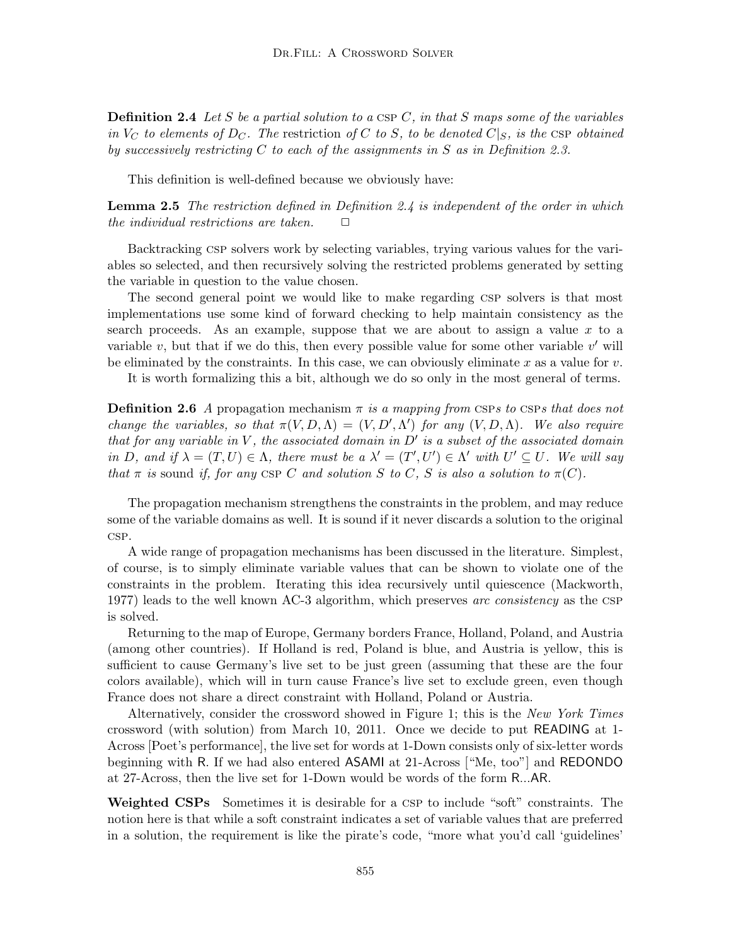**Definition 2.4** Let S be a partial solution to a CSP C, in that S maps some of the variables in  $V_C$  to elements of  $D_C$ . The restriction of C to S, to be denoted  $C|_S$ , is the CSP obtained by successively restricting  $C$  to each of the assignments in  $S$  as in Definition 2.3.

This definition is well-defined because we obviously have:

**Lemma 2.5** The restriction defined in Definition 2.4 is independent of the order in which the individual restrictions are taken.  $\Box$ 

Backtracking csp solvers work by selecting variables, trying various values for the variables so selected, and then recursively solving the restricted problems generated by setting the variable in question to the value chosen.

The second general point we would like to make regarding csp solvers is that most implementations use some kind of forward checking to help maintain consistency as the search proceeds. As an example, suppose that we are about to assign a value x to a variable  $v$ , but that if we do this, then every possible value for some other variable  $v'$  will be eliminated by the constraints. In this case, we can obviously eliminate x as a value for  $v$ .

It is worth formalizing this a bit, although we do so only in the most general of terms.

**Definition 2.6** A propagation mechanism  $\pi$  is a mapping from CSPs to CSPs that does not change the variables, so that  $\pi(V, D, \Lambda) = (V, D', \Lambda')$  for any  $(V, D, \Lambda)$ . We also require that for any variable in V, the associated domain in  $D'$  is a subset of the associated domain in D, and if  $\lambda = (T, U) \in \Lambda$ , there must be a  $\lambda' = (T', U') \in \Lambda'$  with  $U' \subseteq U$ . We will say that  $\pi$  is sound if, for any CSP C and solution S to C, S is also a solution to  $\pi(C)$ .

The propagation mechanism strengthens the constraints in the problem, and may reduce some of the variable domains as well. It is sound if it never discards a solution to the original csp.

A wide range of propagation mechanisms has been discussed in the literature. Simplest, of course, is to simply eliminate variable values that can be shown to violate one of the constraints in the problem. Iterating this idea recursively until quiescence (Mackworth, 1977) leads to the well known AC-3 algorithm, which preserves arc consistency as the CSP is solved.

Returning to the map of Europe, Germany borders France, Holland, Poland, and Austria (among other countries). If Holland is red, Poland is blue, and Austria is yellow, this is sufficient to cause Germany's live set to be just green (assuming that these are the four colors available), which will in turn cause France's live set to exclude green, even though France does not share a direct constraint with Holland, Poland or Austria.

Alternatively, consider the crossword showed in Figure 1; this is the New York Times crossword (with solution) from March 10, 2011. Once we decide to put READING at 1- Across [Poet's performance], the live set for words at 1-Down consists only of six-letter words beginning with R. If we had also entered ASAMI at 21-Across ["Me, too"] and REDONDO at 27-Across, then the live set for 1-Down would be words of the form R...AR.

Weighted CSPs Sometimes it is desirable for a csp to include "soft" constraints. The notion here is that while a soft constraint indicates a set of variable values that are preferred in a solution, the requirement is like the pirate's code, "more what you'd call 'guidelines'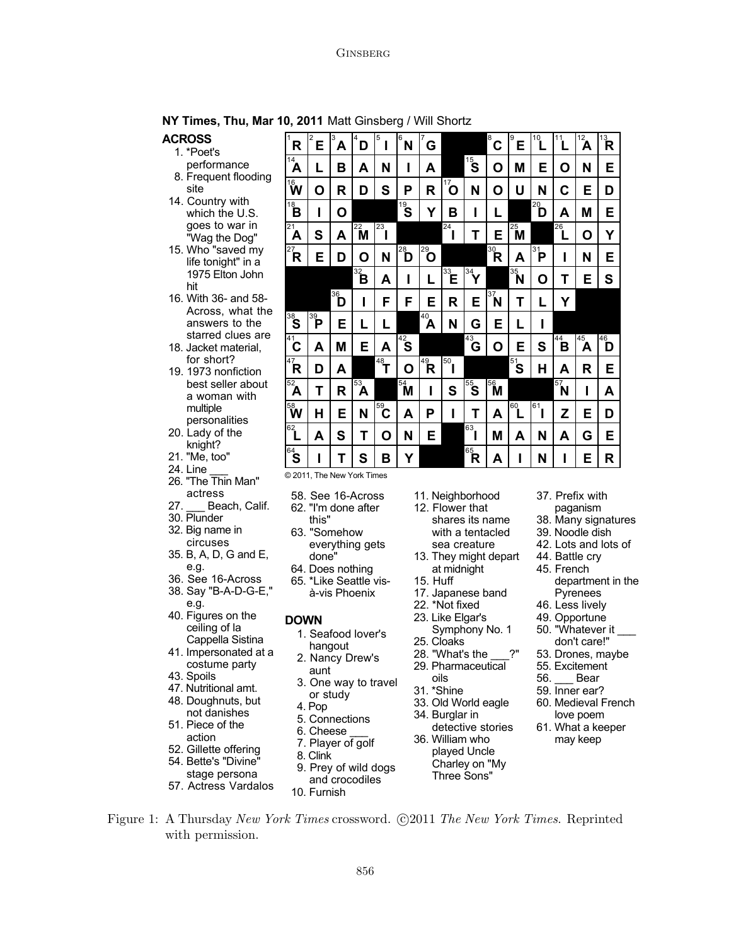| NY Times, Thu, Mar 10, 2011 Matt Ginsberg / Will Shortz |  |                             |  |  |  |
|---------------------------------------------------------|--|-----------------------------|--|--|--|
| <b>ACROSS</b>                                           |  | $1 \t2 \t3 \t4 \t5 \t6 \t7$ |  |  |  |

1 **R**  $14$ **A** 16 **W**  $\overset{18}{\mathbf{B}}$ 

## **ACROSS**

- 1. \*Poet's performance 8. Frequent flooding
- site 14. Country with
- which the U.S. goes to war in "Wag the Dog"
- 15. Who "saved my life tonight" in a 1975 Elton John hit
- 16. With 36- and 58- Across, what the answers to the starred clues are
- 18. Jacket material, for short?
- 19. 1973 nonfiction best seller about a woman with multiple personalities
- 20. Lady of the knight?
- 21. "Me, too"
- 24. Line 26. "The Thin Man"
- actress 27. \_ Beach, Calif.
- 30. Plunder
- 32. Big name in circuses
- 35. B, A, D, G and E, e.g.
- 36. See 16-Across
- 38. Say "B-A-D-G-E," e.g. 40. Figures on the
- ceiling of la Cappella Sistina
- 41. Impersonated at a costume party
- 43. Spoils
- 47. Nutritional amt.
- 48. Doughnuts, but
- not danishes 51. Piece of the
- action
- 52. Gillette offering
- 54. Bette's "Divine"
	- stage persona
- 57. Actress Vardalos

| 21<br>A                 | S       | A       | $\mathbf{M}^{22}$       | 23      |                         |         | 24<br>Ш | Т                       | Е           | $\overset{125}{\mathsf{M}}$ |         | 26<br>L | Ο       | Υ                 |
|-------------------------|---------|---------|-------------------------|---------|-------------------------|---------|---------|-------------------------|-------------|-----------------------------|---------|---------|---------|-------------------|
| 27<br>R                 | E       | D       | n                       | N       | 28<br>D                 | 29<br>O |         |                         | 30<br>R     | А                           | 31<br>Ρ | ı       | N       | E                 |
|                         |         |         | $\overline{\mathbf{B}}$ | А       | ı                       |         | 33<br>Е | 34                      |             | 35<br>N                     | O       | Т       | Ε       | S                 |
|                         |         | 36<br>D | ı                       | F       | F                       | Е       | R       | E                       | 37<br>N     | Т                           | L       | Υ       |         |                   |
| $\overline{\textbf{S}}$ | 39<br>Ρ | E       |                         |         |                         | 40<br>А | N       | G                       | E           |                             | ı       |         |         |                   |
| 41<br>С                 | А       | Μ       | E                       | A       | $\overline{\mathbf{S}}$ |         |         | 43<br>G                 | $\mathbf O$ | Е                           | S       | 44<br>В | 45<br>A | $\overline{46}$ D |
| 47<br>R                 | D       | Α       |                         | 48<br>Т | O                       | 49<br>Ŕ | 50<br>ı |                         |             | $\overline{\mathbf{S}}$     | Н       | А       | R       | E                 |
| 52<br>А                 | Τ       | R       | 53<br>А                 |         | 54<br>Μ                 | ı       | S       | $\overline{\mathbf{S}}$ | 56<br>M     |                             |         | 57<br>N | ı       | Α                 |
| 58<br>W                 | н       | E       | N                       | 59<br>С | А                       | Ρ       | ı       | Τ                       | А           | 60                          | 61      | z       | E       | D                 |
| 62                      | A       | S       | т                       | O       | N                       | E       |         | 63<br>ı                 | Μ           | А                           | N       | А       | G       | Е                 |
| 64<br>Ŝ                 |         | T       | S                       | в       | Y                       |         |         | 65<br>R                 | А           |                             | N       | ı       | Е       | R                 |

 $\boldsymbol{\mathsf{17}}$ O **B** 15 **S**

8 **C O O L**

9 **E M U**

10 **L**

11 **L O C A**  $12^1$ **A N E M**  $\boldsymbol{\mathsf{R}}^{13}$ **E D E**

**E N** 20 **D**

**N I**

- 58. See 16-Across
- 62. "I'm done after
- this" 63. "Somehow everything gets
- done" 64. Does nothing
- 65. \*Like Seattle vis-
- à-vis Phoenix

## **DOWN**

- 1. Seafood lover's hangout
- 2. Nancy Drew's aunt
- 3. One way to travel or study
- 4. Pop
- 5. Connections
- 6. Cheese
- 7. Player of golf
- 8. Clink
- 9. Prey of wild dogs and crocodiles
- 10. Furnish
- 11. Neighborhood
- 12. Flower that shares its name with a tentacled sea creature
- 13. They might depart at midnight
- 15. Huff
- 17. Japanese band
- 22. \*Not fixed
- 23. Like Elgar's
- Symphony No. 1 25. Cloaks
- 28. "What's the \_\_\_?"
- 29. Pharmaceutical
- oils
- 31. \*Shine
- 33. Old World eagle
- 34. Burglar in
- detective stories
- 36. William who played Uncle Charley on "My Three Sons"
- 37. Prefix with
- paganism
- 38. Many signatures 39. Noodle dish
- 42. Lots and lots of
- 44. Battle cry
- 45. French
- department in the Pyrenees
- 46. Less lively
- 49. Opportune
- 50. "Whatever it don't care!"
- 53. Drones, maybe
- 55. Excitement
- 56. \_\_\_ Bear 59. Inner ear?
- 60. Medieval French
- love poem
- 61. What a keeper may keep
- Figure 1: A Thursday New York Times crossword. C 2011 The New York Times. Reprinted with permission.

**E L O I**

3 **A B R O**

4 **D A D** 5 **I N S**

6 **N I P** 19 **S**

7 **G A R Y**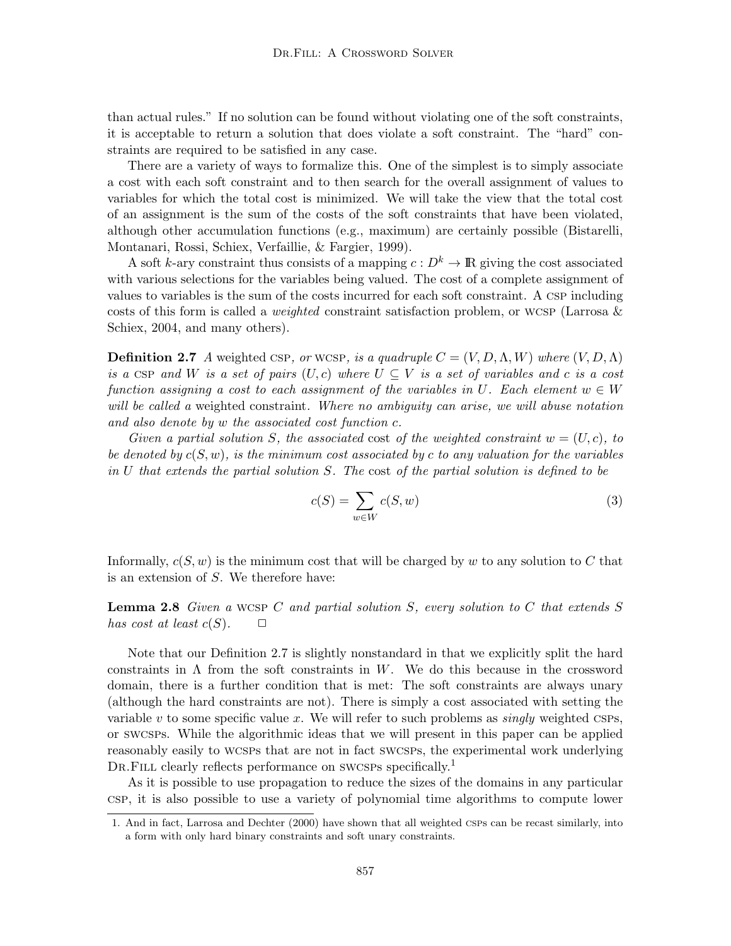than actual rules." If no solution can be found without violating one of the soft constraints, it is acceptable to return a solution that does violate a soft constraint. The "hard" constraints are required to be satisfied in any case.

There are a variety of ways to formalize this. One of the simplest is to simply associate a cost with each soft constraint and to then search for the overall assignment of values to variables for which the total cost is minimized. We will take the view that the total cost of an assignment is the sum of the costs of the soft constraints that have been violated, although other accumulation functions (e.g., maximum) are certainly possible (Bistarelli, Montanari, Rossi, Schiex, Verfaillie, & Fargier, 1999).

A soft k-ary constraint thus consists of a mapping  $c: D^k \to \mathbb{R}$  giving the cost associated with various selections for the variables being valued. The cost of a complete assignment of values to variables is the sum of the costs incurred for each soft constraint. A csp including costs of this form is called a *weighted* constraint satisfaction problem, or WCSP (Larrosa  $\&$ Schiex, 2004, and many others).

**Definition 2.7** A weighted CSP, or WCSP, is a quadruple  $C = (V, D, \Lambda, W)$  where  $(V, D, \Lambda)$ is a CSP and W is a set of pairs  $(U, c)$  where  $U \subseteq V$  is a set of variables and c is a cost function assigning a cost to each assignment of the variables in U. Each element  $w \in W$ will be called a weighted constraint. Where no ambiguity can arise, we will abuse notation and also denote by w the associated cost function c.

Given a partial solution S, the associated cost of the weighted constraint  $w = (U, c)$ , to be denoted by  $c(S, w)$ , is the minimum cost associated by c to any valuation for the variables in U that extends the partial solution S. The cost of the partial solution is defined to be

$$
c(S) = \sum_{w \in W} c(S, w)
$$
 (3)

Informally,  $c(S, w)$  is the minimum cost that will be charged by w to any solution to C that is an extension of S. We therefore have:

**Lemma 2.8** Given a WCSP C and partial solution S, every solution to C that extends S has cost at least  $c(S)$ .  $\Box$ 

Note that our Definition 2.7 is slightly nonstandard in that we explicitly split the hard constraints in  $\Lambda$  from the soft constraints in W. We do this because in the crossword domain, there is a further condition that is met: The soft constraints are always unary (although the hard constraints are not). There is simply a cost associated with setting the variable v to some specific value x. We will refer to such problems as  $\sin q \,l$  weighted CSPs, or swcsps. While the algorithmic ideas that we will present in this paper can be applied reasonably easily to wcsps that are not in fact swcsps, the experimental work underlying DR.FILL clearly reflects performance on swcsps specifically.<sup>1</sup>

As it is possible to use propagation to reduce the sizes of the domains in any particular csp, it is also possible to use a variety of polynomial time algorithms to compute lower

<sup>1.</sup> And in fact, Larrosa and Dechter (2000) have shown that all weighted csps can be recast similarly, into a form with only hard binary constraints and soft unary constraints.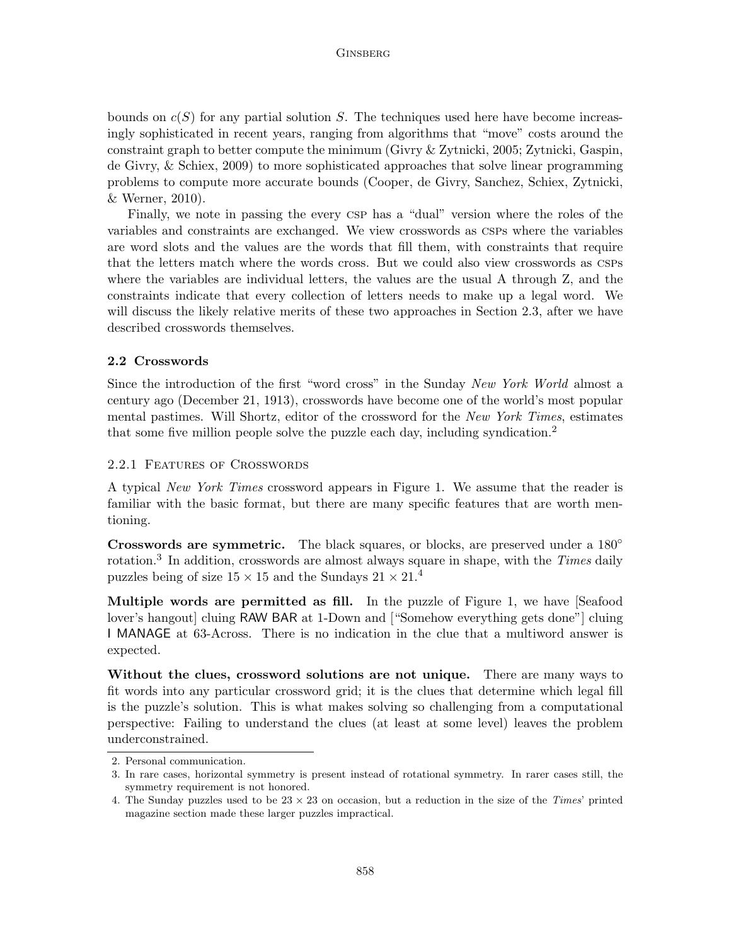bounds on  $c(S)$  for any partial solution S. The techniques used here have become increasingly sophisticated in recent years, ranging from algorithms that "move" costs around the constraint graph to better compute the minimum (Givry & Zytnicki, 2005; Zytnicki, Gaspin, de Givry, & Schiex, 2009) to more sophisticated approaches that solve linear programming problems to compute more accurate bounds (Cooper, de Givry, Sanchez, Schiex, Zytnicki, & Werner, 2010).

Finally, we note in passing the every csp has a "dual" version where the roles of the variables and constraints are exchanged. We view crosswords as CSPs where the variables are word slots and the values are the words that fill them, with constraints that require that the letters match where the words cross. But we could also view crosswords as csps where the variables are individual letters, the values are the usual A through Z, and the constraints indicate that every collection of letters needs to make up a legal word. We will discuss the likely relative merits of these two approaches in Section 2.3, after we have described crosswords themselves.

## 2.2 Crosswords

Since the introduction of the first "word cross" in the Sunday New York World almost a century ago (December 21, 1913), crosswords have become one of the world's most popular mental pastimes. Will Shortz, editor of the crossword for the *New York Times*, estimates that some five million people solve the puzzle each day, including syndication.<sup>2</sup>

## 2.2.1 Features of Crosswords

A typical New York Times crossword appears in Figure 1. We assume that the reader is familiar with the basic format, but there are many specific features that are worth mentioning.

Crosswords are symmetric. The black squares, or blocks, are preserved under a 180<sup>°</sup> rotation.<sup>3</sup> In addition, crosswords are almost always square in shape, with the Times daily puzzles being of size  $15 \times 15$  and the Sundays  $21 \times 21$ .<sup>4</sup>

Multiple words are permitted as fill. In the puzzle of Figure 1, we have [Seafood lover's hangout] cluing RAW BAR at 1-Down and ["Somehow everything gets done"] cluing I MANAGE at 63-Across. There is no indication in the clue that a multiword answer is expected.

Without the clues, crossword solutions are not unique. There are many ways to fit words into any particular crossword grid; it is the clues that determine which legal fill is the puzzle's solution. This is what makes solving so challenging from a computational perspective: Failing to understand the clues (at least at some level) leaves the problem underconstrained.

<sup>2.</sup> Personal communication.

<sup>3.</sup> In rare cases, horizontal symmetry is present instead of rotational symmetry. In rarer cases still, the symmetry requirement is not honored.

<sup>4.</sup> The Sunday puzzles used to be  $23 \times 23$  on occasion, but a reduction in the size of the *Times*' printed magazine section made these larger puzzles impractical.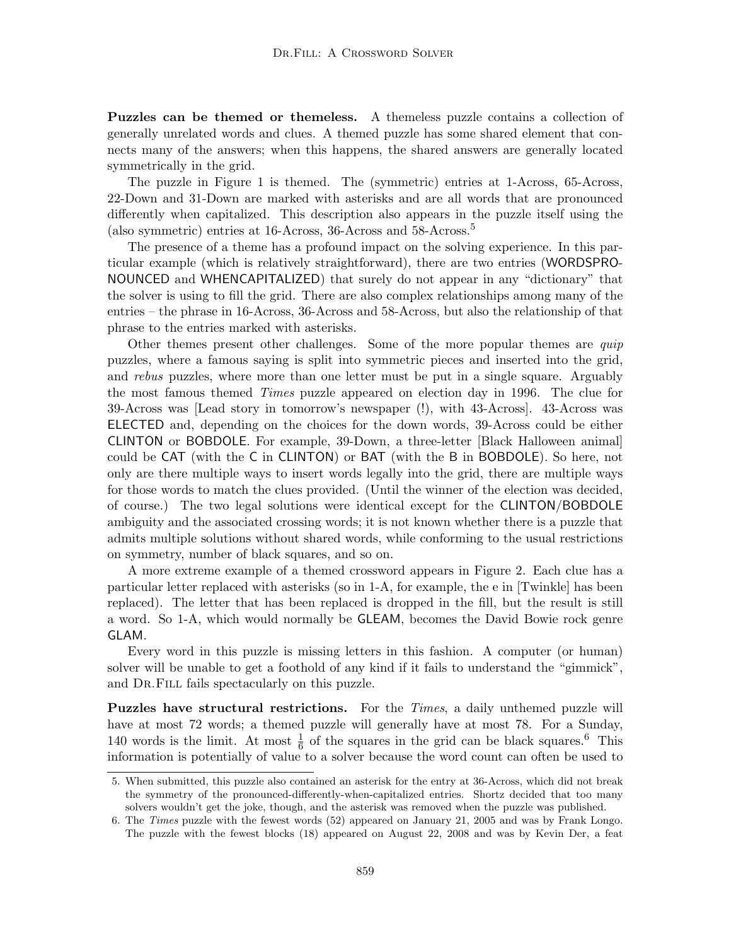Puzzles can be themed or themeless. A themeless puzzle contains a collection of generally unrelated words and clues. A themed puzzle has some shared element that connects many of the answers; when this happens, the shared answers are generally located symmetrically in the grid.

The puzzle in Figure 1 is themed. The (symmetric) entries at 1-Across, 65-Across, 22-Down and 31-Down are marked with asterisks and are all words that are pronounced differently when capitalized. This description also appears in the puzzle itself using the (also symmetric) entries at 16-Across, 36-Across and 58-Across.<sup>5</sup>

The presence of a theme has a profound impact on the solving experience. In this particular example (which is relatively straightforward), there are two entries (WORDSPRO-NOUNCED and WHENCAPITALIZED) that surely do not appear in any "dictionary" that the solver is using to fill the grid. There are also complex relationships among many of the entries – the phrase in 16-Across, 36-Across and 58-Across, but also the relationship of that phrase to the entries marked with asterisks.

Other themes present other challenges. Some of the more popular themes are *quip* puzzles, where a famous saying is split into symmetric pieces and inserted into the grid, and rebus puzzles, where more than one letter must be put in a single square. Arguably the most famous themed Times puzzle appeared on election day in 1996. The clue for 39-Across was [Lead story in tomorrow's newspaper (!), with 43-Across]. 43-Across was ELECTED and, depending on the choices for the down words, 39-Across could be either CLINTON or BOBDOLE. For example, 39-Down, a three-letter [Black Halloween animal] could be CAT (with the C in CLINTON) or BAT (with the B in BOBDOLE). So here, not only are there multiple ways to insert words legally into the grid, there are multiple ways for those words to match the clues provided. (Until the winner of the election was decided, of course.) The two legal solutions were identical except for the CLINTON/BOBDOLE ambiguity and the associated crossing words; it is not known whether there is a puzzle that admits multiple solutions without shared words, while conforming to the usual restrictions on symmetry, number of black squares, and so on.

A more extreme example of a themed crossword appears in Figure 2. Each clue has a particular letter replaced with asterisks (so in 1-A, for example, the e in [Twinkle] has been replaced). The letter that has been replaced is dropped in the fill, but the result is still a word. So 1-A, which would normally be GLEAM, becomes the David Bowie rock genre GLAM.

Every word in this puzzle is missing letters in this fashion. A computer (or human) solver will be unable to get a foothold of any kind if it fails to understand the "gimmick", and DR.FILL fails spectacularly on this puzzle.

**Puzzles have structural restrictions.** For the *Times*, a daily unthemed puzzle will have at most 72 words; a themed puzzle will generally have at most 78. For a Sunday, 140 words is the limit. At most  $\frac{1}{6}$  of the squares in the grid can be black squares.<sup>6</sup> This information is potentially of value to a solver because the word count can often be used to

<sup>5.</sup> When submitted, this puzzle also contained an asterisk for the entry at 36-Across, which did not break the symmetry of the pronounced-differently-when-capitalized entries. Shortz decided that too many solvers wouldn't get the joke, though, and the asterisk was removed when the puzzle was published.

<sup>6.</sup> The Times puzzle with the fewest words (52) appeared on January 21, 2005 and was by Frank Longo. The puzzle with the fewest blocks (18) appeared on August 22, 2008 and was by Kevin Der, a feat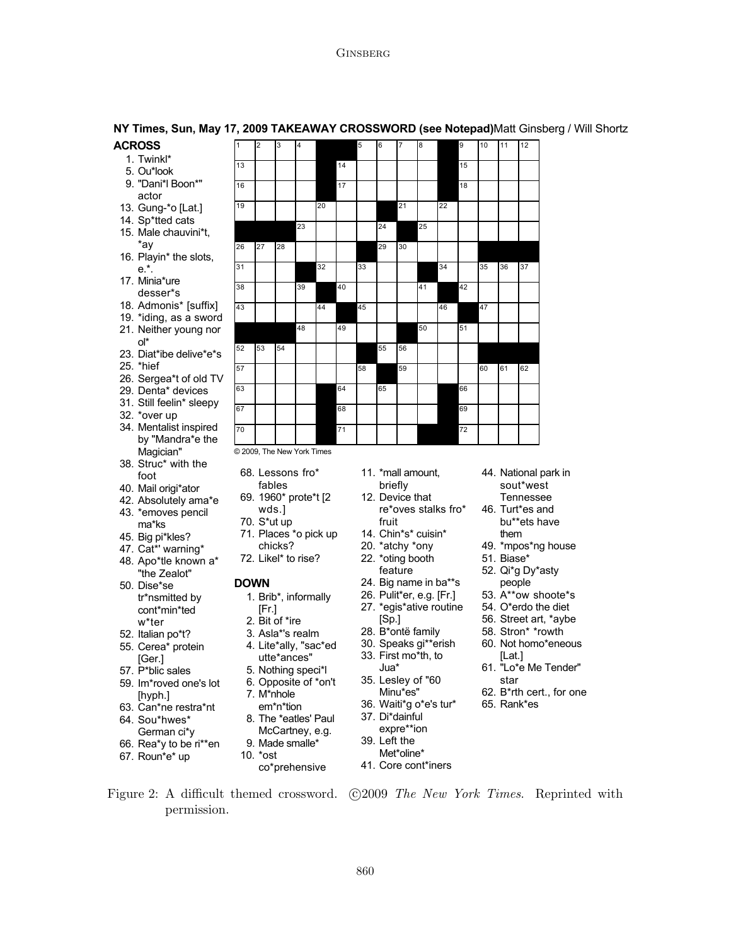**NY Times, Sun, May 17, 2009 TAKEAWAY CROSSWORD (see Notepad)**Matt Ginsberg / Will Shortz

- 1. Twinkl\*
- 5. Ou\*look
- 9. "Dani\*l Boon\*" actor

13 16 19

27

28

23

20

14 17

40

33

24 29 21

 $30$ 

25

22

15 18

34

42

35

36

37

47

60

61

62

51

66 69 72

46

41

50

55

56 59

65

45

58

49

64 68 71

32

44

39

48

54

53

- 13. Gung-\*o [Lat.]
- 14. Sp\*tted cats
- 15. Male chauvini\*t,
- \*ay 16. Playin\* the slots,
- e.\*. 17. Minia\*ure
- desser\*s
- 18. Admonis\* [suffix]
- 19. \*iding, as a sword
- 21. Neither young nor ol\*
- 23. Diat\*ibe delive\*e\*s
- 25. \*hief
- 26. Sergea\*t of old TV
- 29. Denta\* devices
- 31. Still feelin\* sleepy
- 32. \*over up
- 34. Mentalist inspired by "Mandra\*e the Magician"
- 38. Struc\* with the foot
- 40. Mail origi\*ator
- 42. Absolutely ama\*e
- 43. \*emoves pencil ma\*ks
- 45. Big pi\*kles?
- 47. Cat\*' warning\*
- 48. Apo\*tle known a\*
- "the Zealot" 50. Dise\*se tr\*nsmitted by cont\*min\*ted w\*ter
- 52. Italian po\*t?
- 55. Cerea\* protein [Ger.]
- 57. P\*blic sales
- 59. Im\*roved one's lot [hyph.]
- 63. Can\*ne restra\*nt
- 64. Sou\*hwes\*
- German ci\*y
- 66. Rea\*y to be ri\*\*en
- 67. Roun\*e\* up

68. Lessons fro\* fables

© 2009, The New York Times

- 69. 1960\* prote\*t [2 wds.]
- 70. S\*ut up
- 71. Places \*o pick up
- chicks? 72. Likel\* to rise?
- 

## **DOWN**

- 1. Brib\*, informally
- [Fr.]
- 2. Bit of \*ire
- 3. Asla\*'s realm
- 4. Lite\*ally, "sac\*ed utte\*ances"
- 5. Nothing speci\*l
- 6. Opposite of \*on't 7. M\*nhole
- em\*n\*tion
- 8. The \*eatles' Paul
- McCartney, e.g.
- 9. Made smalle\* 10. \*ost
	- co\*prehensive
- 11. \*mall amount, briefly
- 12. Device that
	- re\*oves stalks fro\* fruit
- 14. Chin\*s\* cuisin\*
- 20. \*atchy \*ony
- 22. \*oting booth
- feature
- 24. Big name in ba\*\*s
- 26. Pulit\*er, e.g. [Fr.]
- 27. \*egis\*ative routine
- [Sp.] 28. B\*ontë family
- 30. Speaks gi\*\*erish
- 33. First mo\*th, to
- Jua\*
- 35. Lesley of "60
- 36. Waiti\*g o\*e's tur\*
- 
- 39. Left the
- Met\*oline\*
- 

Figure 2: A difficult themed crossword. ©2009 The New York Times. Reprinted with permission.

- Minu\*es"
- 37. Di\*dainful
- expre\*\*ion
	-
- 41. Core cont\*iners
- 44. National park in sout\*west Tennessee 46. Turt\*es and
	- bu\*\*ets have them
	- 49. \*mpos\*ng house
	- 51. Biase\*
	- 52. Qi\*g Dy\*asty
	- people 53. A\*\*ow shoote\*s
	- 54. O\*erdo the diet
	- 56. Street art, \*aybe
	- 58. Stron\* \*rowth
	- 60. Not homo\*eneous
	- [Lat.] 61. "Lo\*e Me Tender" star
	- 62. B\*rth cert., for one
	- 65. Rank\*es

#### 1 2 3 4 5 6 7 8 9 10 11 12 **ACROSS**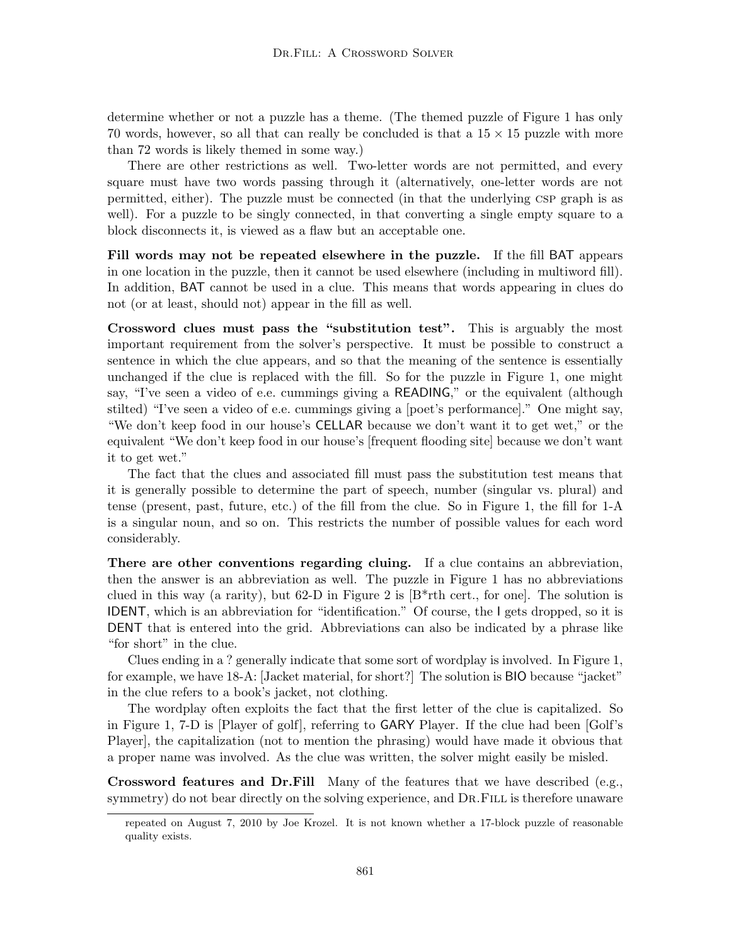determine whether or not a puzzle has a theme. (The themed puzzle of Figure 1 has only 70 words, however, so all that can really be concluded is that a  $15 \times 15$  puzzle with more than 72 words is likely themed in some way.)

There are other restrictions as well. Two-letter words are not permitted, and every square must have two words passing through it (alternatively, one-letter words are not permitted, either). The puzzle must be connected (in that the underlying csp graph is as well). For a puzzle to be singly connected, in that converting a single empty square to a block disconnects it, is viewed as a flaw but an acceptable one.

Fill words may not be repeated elsewhere in the puzzle. If the fill BAT appears in one location in the puzzle, then it cannot be used elsewhere (including in multiword fill). In addition, BAT cannot be used in a clue. This means that words appearing in clues do not (or at least, should not) appear in the fill as well.

Crossword clues must pass the "substitution test". This is arguably the most important requirement from the solver's perspective. It must be possible to construct a sentence in which the clue appears, and so that the meaning of the sentence is essentially unchanged if the clue is replaced with the fill. So for the puzzle in Figure 1, one might say, "I've seen a video of e.e. cummings giving a READING," or the equivalent (although stilted) "I've seen a video of e.e. cummings giving a [poet's performance]." One might say, "We don't keep food in our house's CELLAR because we don't want it to get wet," or the equivalent "We don't keep food in our house's [frequent flooding site] because we don't want it to get wet."

The fact that the clues and associated fill must pass the substitution test means that it is generally possible to determine the part of speech, number (singular vs. plural) and tense (present, past, future, etc.) of the fill from the clue. So in Figure 1, the fill for 1-A is a singular noun, and so on. This restricts the number of possible values for each word considerably.

There are other conventions regarding cluing. If a clue contains an abbreviation, then the answer is an abbreviation as well. The puzzle in Figure 1 has no abbreviations clued in this way (a rarity), but 62-D in Figure 2 is  $[B^*rth]$  cert., for one. The solution is IDENT, which is an abbreviation for "identification." Of course, the I gets dropped, so it is DENT that is entered into the grid. Abbreviations can also be indicated by a phrase like "for short" in the clue.

Clues ending in a ? generally indicate that some sort of wordplay is involved. In Figure 1, for example, we have 18-A: [Jacket material, for short?] The solution is BIO because "jacket" in the clue refers to a book's jacket, not clothing.

The wordplay often exploits the fact that the first letter of the clue is capitalized. So in Figure 1, 7-D is [Player of golf], referring to GARY Player. If the clue had been [Golf's Player], the capitalization (not to mention the phrasing) would have made it obvious that a proper name was involved. As the clue was written, the solver might easily be misled.

Crossword features and Dr.Fill Many of the features that we have described (e.g., symmetry) do not bear directly on the solving experience, and DR. FILL is therefore unaware

repeated on August 7, 2010 by Joe Krozel. It is not known whether a 17-block puzzle of reasonable quality exists.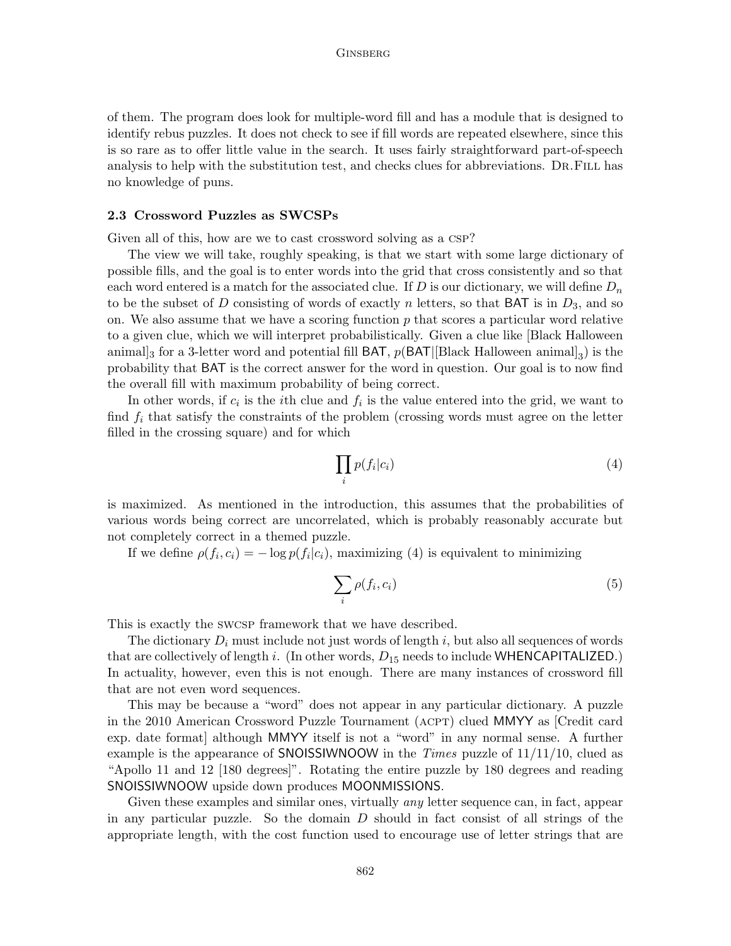of them. The program does look for multiple-word fill and has a module that is designed to identify rebus puzzles. It does not check to see if fill words are repeated elsewhere, since this is so rare as to offer little value in the search. It uses fairly straightforward part-of-speech analysis to help with the substitution test, and checks clues for abbreviations. DR. FILL has no knowledge of puns.

## 2.3 Crossword Puzzles as SWCSPs

Given all of this, how are we to cast crossword solving as a CSP?

The view we will take, roughly speaking, is that we start with some large dictionary of possible fills, and the goal is to enter words into the grid that cross consistently and so that each word entered is a match for the associated clue. If D is our dictionary, we will define  $D_n$ to be the subset of D consisting of words of exactly n letters, so that BAT is in  $D_3$ , and so on. We also assume that we have a scoring function  $p$  that scores a particular word relative to a given clue, which we will interpret probabilistically. Given a clue like [Black Halloween animal]<sub>3</sub> for a 3-letter word and potential fill BAT,  $p(BAT|[Black\ Halloween\ animal]_3)$  is the probability that BAT is the correct answer for the word in question. Our goal is to now find the overall fill with maximum probability of being correct.

In other words, if  $c_i$  is the *i*th clue and  $f_i$  is the value entered into the grid, we want to find  $f_i$  that satisfy the constraints of the problem (crossing words must agree on the letter filled in the crossing square) and for which

$$
\prod_i p(f_i|c_i) \tag{4}
$$

is maximized. As mentioned in the introduction, this assumes that the probabilities of various words being correct are uncorrelated, which is probably reasonably accurate but not completely correct in a themed puzzle.

If we define  $\rho(f_i, c_i) = -\log p(f_i|c_i)$ , maximizing (4) is equivalent to minimizing

$$
\sum_{i} \rho(f_i, c_i) \tag{5}
$$

This is exactly the swcsp framework that we have described.

The dictionary  $D_i$  must include not just words of length i, but also all sequences of words that are collectively of length i. (In other words,  $D_{15}$  needs to include WHENCAPITALIZED.) In actuality, however, even this is not enough. There are many instances of crossword fill that are not even word sequences.

This may be because a "word" does not appear in any particular dictionary. A puzzle in the 2010 American Crossword Puzzle Tournament (ACPT) clued MMYY as [Credit card exp. date format] although MMYY itself is not a "word" in any normal sense. A further example is the appearance of SNOISSIWNOOW in the *Times* puzzle of  $11/11/10$ , clued as "Apollo 11 and 12 [180 degrees]". Rotating the entire puzzle by 180 degrees and reading SNOISSIWNOOW upside down produces MOONMISSIONS.

Given these examples and similar ones, virtually any letter sequence can, in fact, appear in any particular puzzle. So the domain  $D$  should in fact consist of all strings of the appropriate length, with the cost function used to encourage use of letter strings that are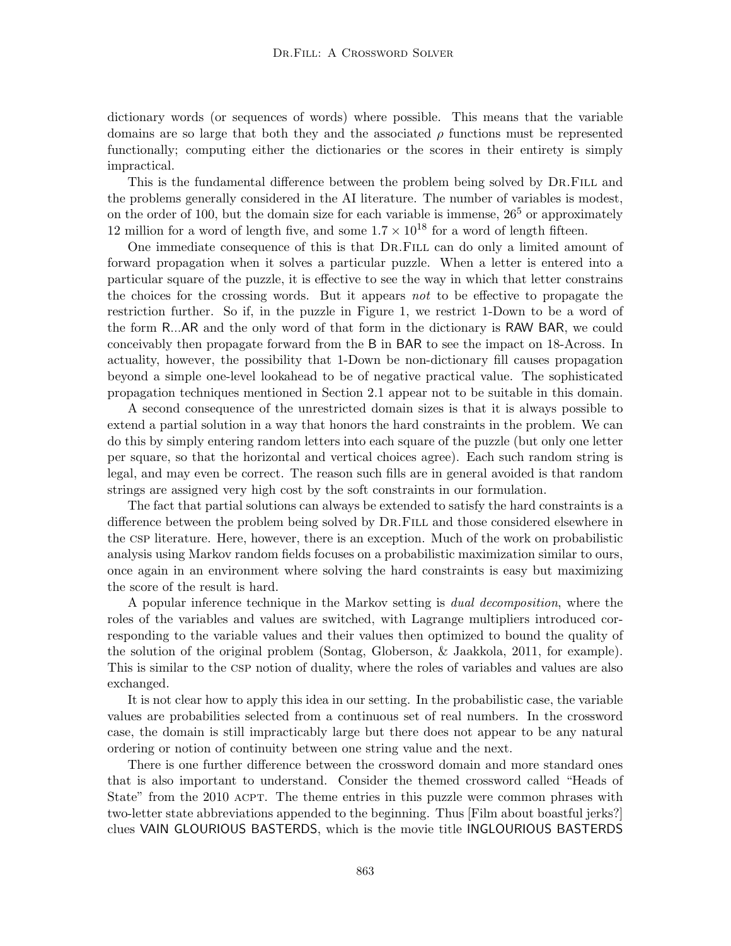dictionary words (or sequences of words) where possible. This means that the variable domains are so large that both they and the associated  $\rho$  functions must be represented functionally; computing either the dictionaries or the scores in their entirety is simply impractical.

This is the fundamental difference between the problem being solved by Dr.Fill and the problems generally considered in the AI literature. The number of variables is modest, on the order of 100, but the domain size for each variable is immense,  $26<sup>5</sup>$  or approximately 12 million for a word of length five, and some  $1.7 \times 10^{18}$  for a word of length fifteen.

One immediate consequence of this is that Dr.Fill can do only a limited amount of forward propagation when it solves a particular puzzle. When a letter is entered into a particular square of the puzzle, it is effective to see the way in which that letter constrains the choices for the crossing words. But it appears not to be effective to propagate the restriction further. So if, in the puzzle in Figure 1, we restrict 1-Down to be a word of the form R...AR and the only word of that form in the dictionary is RAW BAR, we could conceivably then propagate forward from the B in BAR to see the impact on 18-Across. In actuality, however, the possibility that 1-Down be non-dictionary fill causes propagation beyond a simple one-level lookahead to be of negative practical value. The sophisticated propagation techniques mentioned in Section 2.1 appear not to be suitable in this domain.

A second consequence of the unrestricted domain sizes is that it is always possible to extend a partial solution in a way that honors the hard constraints in the problem. We can do this by simply entering random letters into each square of the puzzle (but only one letter per square, so that the horizontal and vertical choices agree). Each such random string is legal, and may even be correct. The reason such fills are in general avoided is that random strings are assigned very high cost by the soft constraints in our formulation.

The fact that partial solutions can always be extended to satisfy the hard constraints is a difference between the problem being solved by Dr.Fill and those considered elsewhere in the csp literature. Here, however, there is an exception. Much of the work on probabilistic analysis using Markov random fields focuses on a probabilistic maximization similar to ours, once again in an environment where solving the hard constraints is easy but maximizing the score of the result is hard.

A popular inference technique in the Markov setting is dual decomposition, where the roles of the variables and values are switched, with Lagrange multipliers introduced corresponding to the variable values and their values then optimized to bound the quality of the solution of the original problem (Sontag, Globerson, & Jaakkola, 2011, for example). This is similar to the csp notion of duality, where the roles of variables and values are also exchanged.

It is not clear how to apply this idea in our setting. In the probabilistic case, the variable values are probabilities selected from a continuous set of real numbers. In the crossword case, the domain is still impracticably large but there does not appear to be any natural ordering or notion of continuity between one string value and the next.

There is one further difference between the crossword domain and more standard ones that is also important to understand. Consider the themed crossword called "Heads of State" from the 2010 ACPT. The theme entries in this puzzle were common phrases with two-letter state abbreviations appended to the beginning. Thus [Film about boastful jerks?] clues VAIN GLOURIOUS BASTERDS, which is the movie title INGLOURIOUS BASTERDS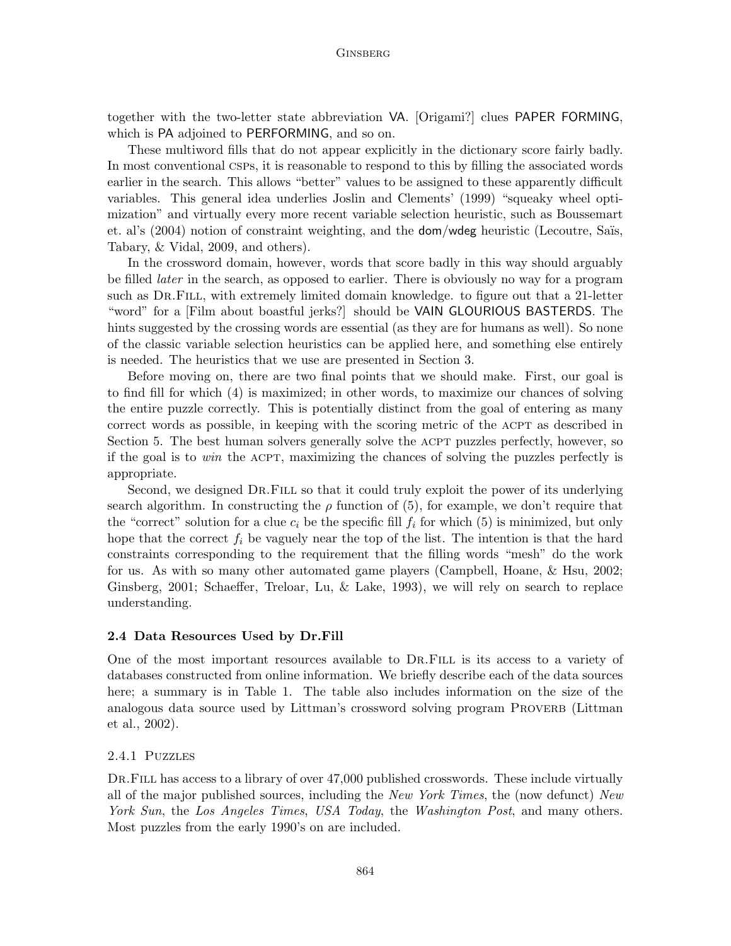together with the two-letter state abbreviation VA. [Origami?] clues PAPER FORMING, which is PA adjoined to PERFORMING, and so on.

These multiword fills that do not appear explicitly in the dictionary score fairly badly. In most conventional csps, it is reasonable to respond to this by filling the associated words earlier in the search. This allows "better" values to be assigned to these apparently difficult variables. This general idea underlies Joslin and Clements' (1999) "squeaky wheel optimization" and virtually every more recent variable selection heuristic, such as Boussemart et. al's (2004) notion of constraint weighting, and the **dom/wdeg** heuristic (Lecoutre, Saïs, Tabary, & Vidal, 2009, and others).

In the crossword domain, however, words that score badly in this way should arguably be filled *later* in the search, as opposed to earlier. There is obviously no way for a program such as Dr.Fill, with extremely limited domain knowledge. to figure out that a 21-letter "word" for a [Film about boastful jerks?] should be VAIN GLOURIOUS BASTERDS. The hints suggested by the crossing words are essential (as they are for humans as well). So none of the classic variable selection heuristics can be applied here, and something else entirely is needed. The heuristics that we use are presented in Section 3.

Before moving on, there are two final points that we should make. First, our goal is to find fill for which (4) is maximized; in other words, to maximize our chances of solving the entire puzzle correctly. This is potentially distinct from the goal of entering as many correct words as possible, in keeping with the scoring metric of the ACPT as described in Section 5. The best human solvers generally solve the ACPT puzzles perfectly, however, so if the goal is to win the ACPT, maximizing the chances of solving the puzzles perfectly is appropriate.

Second, we designed Dr.Fill so that it could truly exploit the power of its underlying search algorithm. In constructing the  $\rho$  function of (5), for example, we don't require that the "correct" solution for a clue  $c_i$  be the specific fill  $f_i$  for which (5) is minimized, but only hope that the correct  $f_i$  be vaguely near the top of the list. The intention is that the hard constraints corresponding to the requirement that the filling words "mesh" do the work for us. As with so many other automated game players (Campbell, Hoane, & Hsu, 2002; Ginsberg, 2001; Schaeffer, Treloar, Lu, & Lake, 1993), we will rely on search to replace understanding.

## 2.4 Data Resources Used by Dr.Fill

One of the most important resources available to Dr.Fill is its access to a variety of databases constructed from online information. We briefly describe each of the data sources here; a summary is in Table 1. The table also includes information on the size of the analogous data source used by Littman's crossword solving program Proverb (Littman et al., 2002).

## 2.4.1 Puzzles

DR. FILL has access to a library of over 47,000 published crosswords. These include virtually all of the major published sources, including the New York Times, the (now defunct) New York Sun, the Los Angeles Times, USA Today, the Washington Post, and many others. Most puzzles from the early 1990's on are included.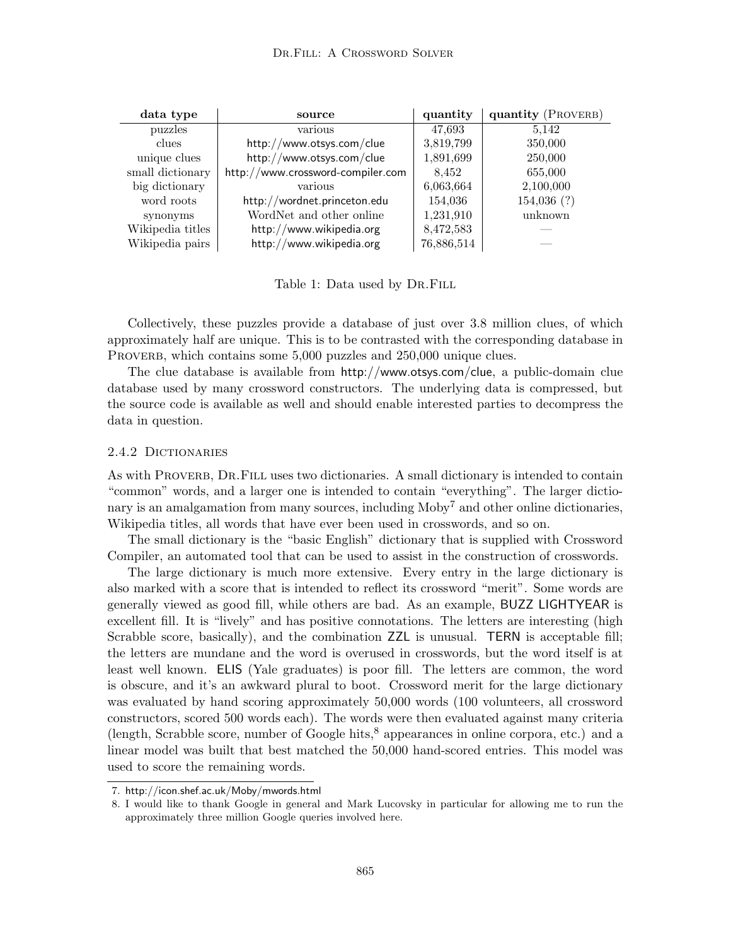| data type        | source                            | quantity   | quantity (PROVERB) |
|------------------|-----------------------------------|------------|--------------------|
| puzzles          | various                           | 47,693     | 5,142              |
| clues            | http://www.otsys.com/clue         | 3,819,799  | 350,000            |
| unique clues     | http://www.otsys.com/clue         | 1,891,699  | 250,000            |
| small dictionary | http://www.crossword-compiler.com | 8,452      | 655,000            |
| big dictionary   | various                           | 6,063,664  | 2,100,000          |
| word roots       | http://wordnet.princeton.edu      | 154,036    | 154,036(?)         |
| synonyms         | WordNet and other online          | 1,231,910  | unknown            |
| Wikipedia titles | http://www.wikipedia.org          | 8,472,583  |                    |
| Wikipedia pairs  | http://www.wikipedia.org          | 76,886,514 |                    |

Table 1: Data used by DR.FILL

Collectively, these puzzles provide a database of just over 3.8 million clues, of which approximately half are unique. This is to be contrasted with the corresponding database in PROVERB, which contains some 5,000 puzzles and 250,000 unique clues.

The clue database is available from http://www.otsys.com/clue, a public-domain clue database used by many crossword constructors. The underlying data is compressed, but the source code is available as well and should enable interested parties to decompress the data in question.

## 2.4.2 DICTIONARIES

As with PROVERB, DR.FILL uses two dictionaries. A small dictionary is intended to contain "common" words, and a larger one is intended to contain "everything". The larger dictionary is an amalgamation from many sources, including  $\text{Moby}^7$  and other online dictionaries, Wikipedia titles, all words that have ever been used in crosswords, and so on.

The small dictionary is the "basic English" dictionary that is supplied with Crossword Compiler, an automated tool that can be used to assist in the construction of crosswords.

The large dictionary is much more extensive. Every entry in the large dictionary is also marked with a score that is intended to reflect its crossword "merit". Some words are generally viewed as good fill, while others are bad. As an example, BUZZ LIGHTYEAR is excellent fill. It is "lively" and has positive connotations. The letters are interesting (high Scrabble score, basically), and the combination ZZL is unusual. TERN is acceptable fill; the letters are mundane and the word is overused in crosswords, but the word itself is at least well known. ELIS (Yale graduates) is poor fill. The letters are common, the word is obscure, and it's an awkward plural to boot. Crossword merit for the large dictionary was evaluated by hand scoring approximately 50,000 words (100 volunteers, all crossword constructors, scored 500 words each). The words were then evaluated against many criteria (length, Scrabble score, number of Google hits,  $8$  appearances in online corpora, etc.) and a linear model was built that best matched the 50,000 hand-scored entries. This model was used to score the remaining words.

<sup>7.</sup> http://icon.shef.ac.uk/Moby/mwords.html

<sup>8.</sup> I would like to thank Google in general and Mark Lucovsky in particular for allowing me to run the approximately three million Google queries involved here.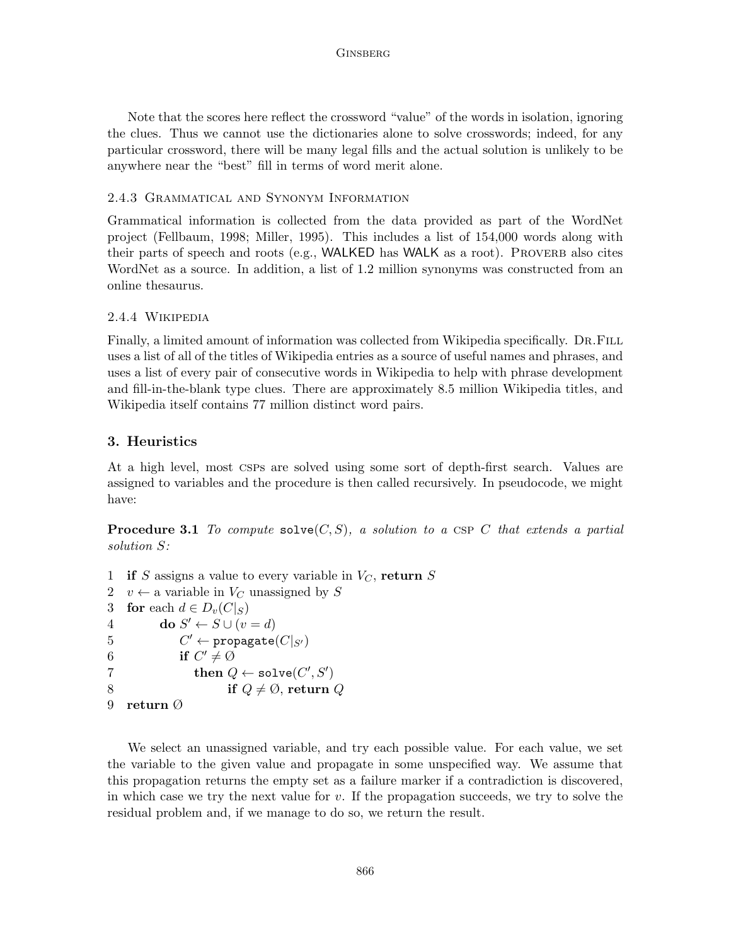Note that the scores here reflect the crossword "value" of the words in isolation, ignoring the clues. Thus we cannot use the dictionaries alone to solve crosswords; indeed, for any particular crossword, there will be many legal fills and the actual solution is unlikely to be anywhere near the "best" fill in terms of word merit alone.

## 2.4.3 Grammatical and Synonym Information

Grammatical information is collected from the data provided as part of the WordNet project (Fellbaum, 1998; Miller, 1995). This includes a list of 154,000 words along with their parts of speech and roots (e.g.,  $WALKED$  has  $WALK$  as a root). PROVERB also cites WordNet as a source. In addition, a list of 1.2 million synonyms was constructed from an online thesaurus.

## 2.4.4 Wikipedia

Finally, a limited amount of information was collected from Wikipedia specifically. DR.FILL uses a list of all of the titles of Wikipedia entries as a source of useful names and phrases, and uses a list of every pair of consecutive words in Wikipedia to help with phrase development and fill-in-the-blank type clues. There are approximately 8.5 million Wikipedia titles, and Wikipedia itself contains 77 million distinct word pairs.

## 3. Heuristics

At a high level, most csps are solved using some sort of depth-first search. Values are assigned to variables and the procedure is then called recursively. In pseudocode, we might have:

**Procedure 3.1** To compute  $\text{solve}(C, S)$ , a solution to a CSP C that extends a partial solution S:

1 if S assigns a value to every variable in  $V_C$ , return S 2  $v \leftarrow$  a variable in  $V_C$  unassigned by S 3 for each  $d \in D_v(C|_S)$ 4 do  $S' \leftarrow S \cup (v = d)$ 5  $C' \leftarrow \texttt{propagate}(C|_{S'})$ 6 if  $C' \neq \emptyset$ 7 then  $Q \leftarrow \texttt{solve}(C', S')$ 8 if  $Q \neq \emptyset$ , return Q 9 return Ø

We select an unassigned variable, and try each possible value. For each value, we set the variable to the given value and propagate in some unspecified way. We assume that this propagation returns the empty set as a failure marker if a contradiction is discovered, in which case we try the next value for  $v$ . If the propagation succeeds, we try to solve the residual problem and, if we manage to do so, we return the result.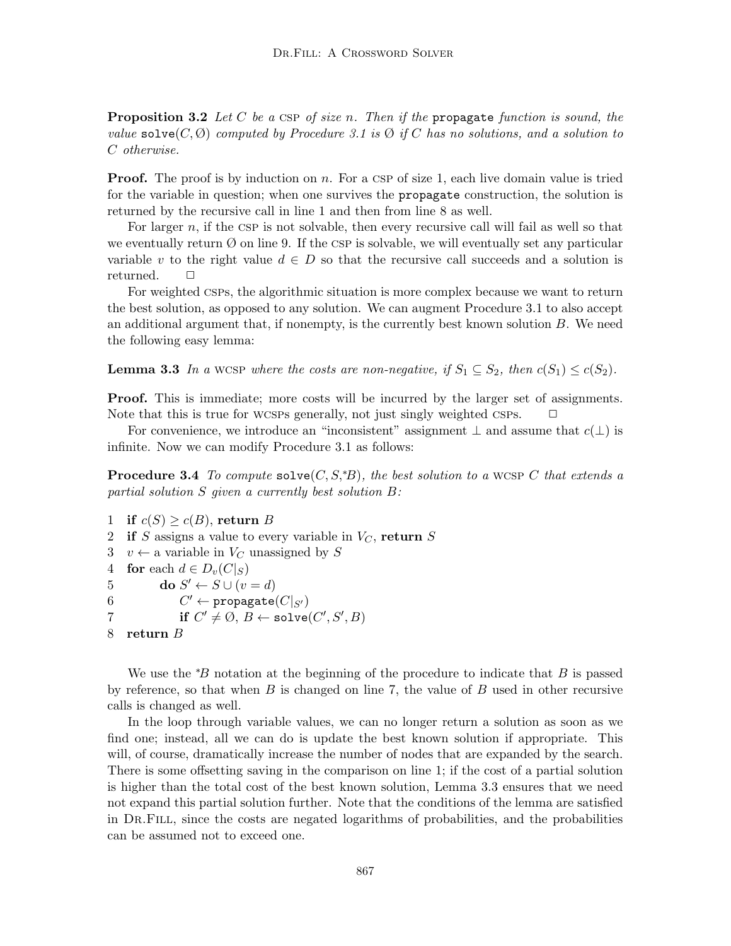**Proposition 3.2** Let C be a CSP of size n. Then if the propagate function is sound, the value solve $(C, \emptyset)$  computed by Procedure 3.1 is  $\emptyset$  if C has no solutions, and a solution to C otherwise.

**Proof.** The proof is by induction on n. For a CSP of size 1, each live domain value is tried for the variable in question; when one survives the propagate construction, the solution is returned by the recursive call in line 1 and then from line 8 as well.

For larger  $n$ , if the CSP is not solvable, then every recursive call will fail as well so that we eventually return  $\emptyset$  on line 9. If the CSP is solvable, we will eventually set any particular variable v to the right value  $d \in D$  so that the recursive call succeeds and a solution is returned. □

For weighted csps, the algorithmic situation is more complex because we want to return the best solution, as opposed to any solution. We can augment Procedure 3.1 to also accept an additional argument that, if nonempty, is the currently best known solution B. We need the following easy lemma:

**Lemma 3.3** In a WCSP where the costs are non-negative, if  $S_1 \subseteq S_2$ , then  $c(S_1) \leq c(S_2)$ .

**Proof.** This is immediate; more costs will be incurred by the larger set of assignments. Note that this is true for wcsps generally, not just singly weighted csps.

For convenience, we introduce an "inconsistent" assignment  $\perp$  and assume that  $c(\perp)$  is infinite. Now we can modify Procedure 3.1 as follows:

**Procedure 3.4** To compute solve $(C, S, *B)$ , the best solution to a WCSP C that extends a partial solution S given a currently best solution B:

```
1 if c(S) > c(B), return B
2 if S assigns a value to every variable in V_C, return S
3 v \leftarrow a variable in V_C unassigned by S
4 for each d \in D_v(C|_S)5 do S' \leftarrow S \cup (v = d)6 C' \leftarrow \texttt{propagate}(C|_{S'})7 if C' \neq \emptyset, B \leftarrow \mathtt{solve}(C', S', B)8 return B
```
We use the  $*B$  notation at the beginning of the procedure to indicate that B is passed by reference, so that when  $B$  is changed on line 7, the value of  $B$  used in other recursive calls is changed as well.

In the loop through variable values, we can no longer return a solution as soon as we find one; instead, all we can do is update the best known solution if appropriate. This will, of course, dramatically increase the number of nodes that are expanded by the search. There is some offsetting saving in the comparison on line 1; if the cost of a partial solution is higher than the total cost of the best known solution, Lemma 3.3 ensures that we need not expand this partial solution further. Note that the conditions of the lemma are satisfied in Dr.Fill, since the costs are negated logarithms of probabilities, and the probabilities can be assumed not to exceed one.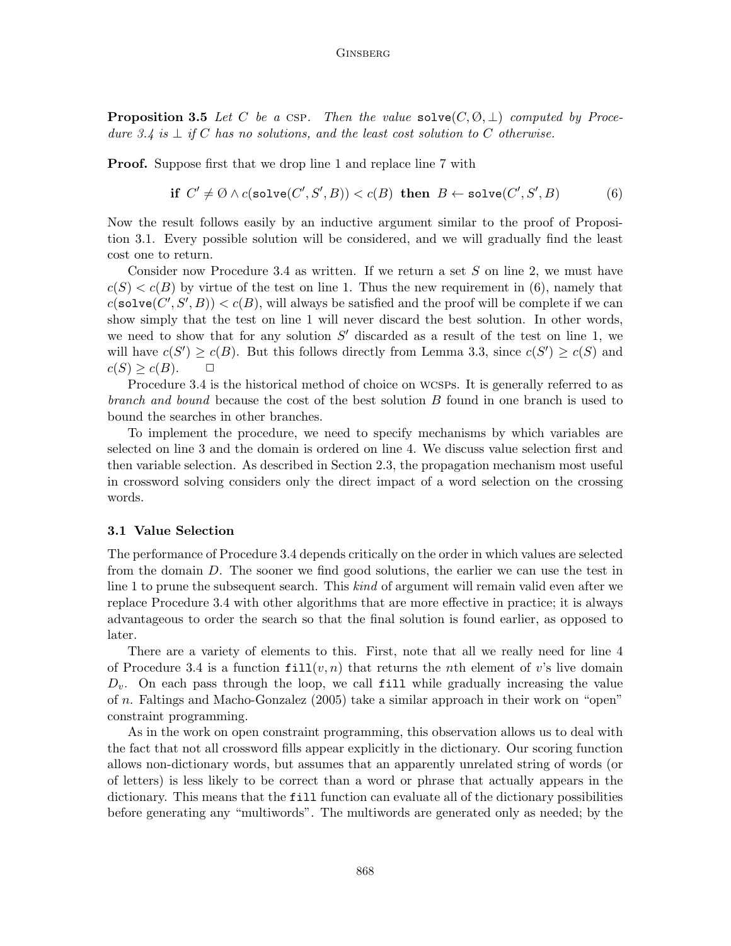**Proposition 3.5** Let C be a CSP. Then the value  $\text{solve}(C, \emptyset, \perp)$  computed by Procedure 3.4 is  $\perp$  if C has no solutions, and the least cost solution to C otherwise.

**Proof.** Suppose first that we drop line 1 and replace line 7 with

$$
\text{if } C' \neq \emptyset \land c(\text{solve}(C', S', B)) < c(B) \text{ then } B \leftarrow \text{solve}(C', S', B) \tag{6}
$$

Now the result follows easily by an inductive argument similar to the proof of Proposition 3.1. Every possible solution will be considered, and we will gradually find the least cost one to return.

Consider now Procedure 3.4 as written. If we return a set  $S$  on line 2, we must have  $c(S) < c(B)$  by virtue of the test on line 1. Thus the new requirement in (6), namely that  $c(\texttt{solve}(C', S', B)) < c(B)$ , will always be satisfied and the proof will be complete if we can show simply that the test on line 1 will never discard the best solution. In other words, we need to show that for any solution  $S'$  discarded as a result of the test on line 1, we will have  $c(S') \geq c(B)$ . But this follows directly from Lemma 3.3, since  $c(S') \geq c(S)$  and  $c(S) \geq c(B). \qquad \Box$ 

Procedure 3.4 is the historical method of choice on wcsps. It is generally referred to as branch and bound because the cost of the best solution B found in one branch is used to bound the searches in other branches.

To implement the procedure, we need to specify mechanisms by which variables are selected on line 3 and the domain is ordered on line 4. We discuss value selection first and then variable selection. As described in Section 2.3, the propagation mechanism most useful in crossword solving considers only the direct impact of a word selection on the crossing words.

#### 3.1 Value Selection

The performance of Procedure 3.4 depends critically on the order in which values are selected from the domain D. The sooner we find good solutions, the earlier we can use the test in line 1 to prune the subsequent search. This *kind* of argument will remain valid even after we replace Procedure 3.4 with other algorithms that are more effective in practice; it is always advantageous to order the search so that the final solution is found earlier, as opposed to later.

There are a variety of elements to this. First, note that all we really need for line 4 of Procedure 3.4 is a function  $\text{fill}(v, n)$  that returns the nth element of v's live domain  $D_v$ . On each pass through the loop, we call fill while gradually increasing the value of n. Faltings and Macho-Gonzalez (2005) take a similar approach in their work on "open" constraint programming.

As in the work on open constraint programming, this observation allows us to deal with the fact that not all crossword fills appear explicitly in the dictionary. Our scoring function allows non-dictionary words, but assumes that an apparently unrelated string of words (or of letters) is less likely to be correct than a word or phrase that actually appears in the dictionary. This means that the fill function can evaluate all of the dictionary possibilities before generating any "multiwords". The multiwords are generated only as needed; by the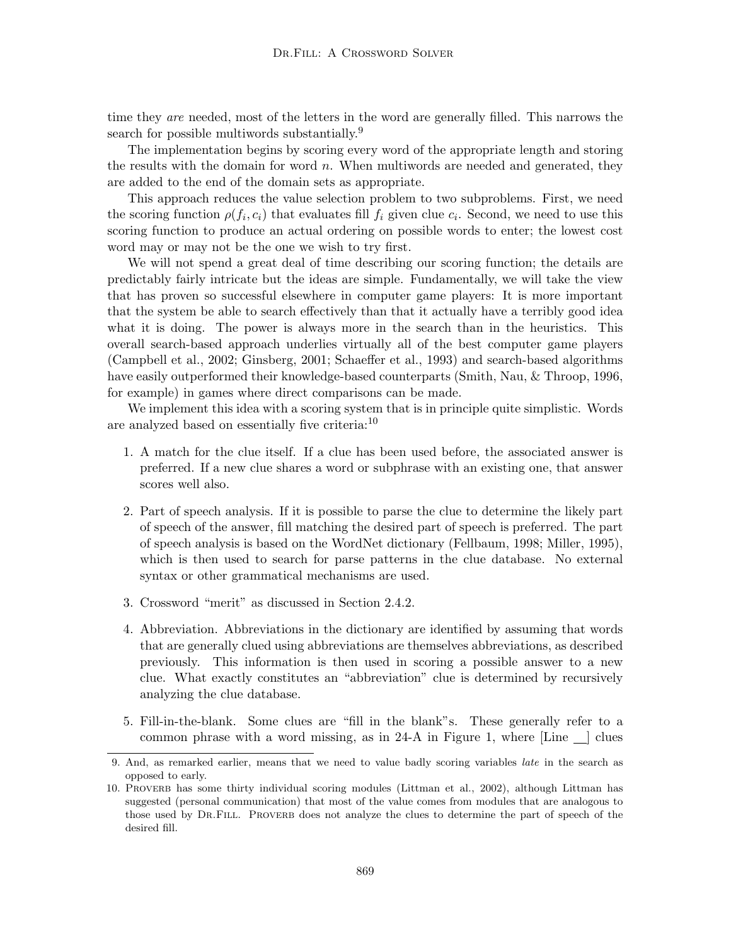time they are needed, most of the letters in the word are generally filled. This narrows the search for possible multiwords substantially.<sup>9</sup>

The implementation begins by scoring every word of the appropriate length and storing the results with the domain for word  $n$ . When multiwords are needed and generated, they are added to the end of the domain sets as appropriate.

This approach reduces the value selection problem to two subproblems. First, we need the scoring function  $\rho(f_i, c_i)$  that evaluates fill  $f_i$  given clue  $c_i$ . Second, we need to use this scoring function to produce an actual ordering on possible words to enter; the lowest cost word may or may not be the one we wish to try first.

We will not spend a great deal of time describing our scoring function; the details are predictably fairly intricate but the ideas are simple. Fundamentally, we will take the view that has proven so successful elsewhere in computer game players: It is more important that the system be able to search effectively than that it actually have a terribly good idea what it is doing. The power is always more in the search than in the heuristics. This overall search-based approach underlies virtually all of the best computer game players (Campbell et al., 2002; Ginsberg, 2001; Schaeffer et al., 1993) and search-based algorithms have easily outperformed their knowledge-based counterparts (Smith, Nau, & Throop, 1996, for example) in games where direct comparisons can be made.

We implement this idea with a scoring system that is in principle quite simplistic. Words are analyzed based on essentially five criteria:<sup>10</sup>

- 1. A match for the clue itself. If a clue has been used before, the associated answer is preferred. If a new clue shares a word or subphrase with an existing one, that answer scores well also.
- 2. Part of speech analysis. If it is possible to parse the clue to determine the likely part of speech of the answer, fill matching the desired part of speech is preferred. The part of speech analysis is based on the WordNet dictionary (Fellbaum, 1998; Miller, 1995), which is then used to search for parse patterns in the clue database. No external syntax or other grammatical mechanisms are used.
- 3. Crossword "merit" as discussed in Section 2.4.2.
- 4. Abbreviation. Abbreviations in the dictionary are identified by assuming that words that are generally clued using abbreviations are themselves abbreviations, as described previously. This information is then used in scoring a possible answer to a new clue. What exactly constitutes an "abbreviation" clue is determined by recursively analyzing the clue database.
- 5. Fill-in-the-blank. Some clues are "fill in the blank"s. These generally refer to a common phrase with a word missing, as in 24-A in Figure 1, where  $\lbrack$ Line  $\lbrack$  clues

<sup>9.</sup> And, as remarked earlier, means that we need to value badly scoring variables late in the search as opposed to early.

<sup>10.</sup> Proverb has some thirty individual scoring modules (Littman et al., 2002), although Littman has suggested (personal communication) that most of the value comes from modules that are analogous to those used by DR.FILL. PROVERB does not analyze the clues to determine the part of speech of the desired fill.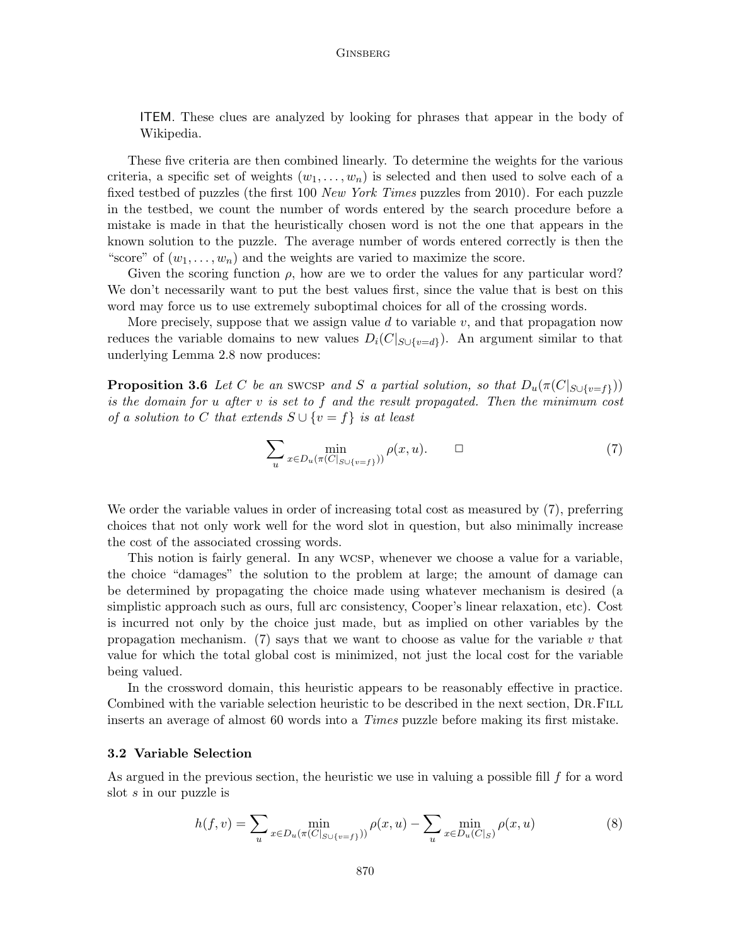ITEM. These clues are analyzed by looking for phrases that appear in the body of Wikipedia.

These five criteria are then combined linearly. To determine the weights for the various criteria, a specific set of weights  $(w_1, \ldots, w_n)$  is selected and then used to solve each of a fixed testbed of puzzles (the first 100 New York Times puzzles from 2010). For each puzzle in the testbed, we count the number of words entered by the search procedure before a mistake is made in that the heuristically chosen word is not the one that appears in the known solution to the puzzle. The average number of words entered correctly is then the "score" of  $(w_1, \ldots, w_n)$  and the weights are varied to maximize the score.

Given the scoring function  $\rho$ , how are we to order the values for any particular word? We don't necessarily want to put the best values first, since the value that is best on this word may force us to use extremely suboptimal choices for all of the crossing words.

More precisely, suppose that we assign value d to variable  $v$ , and that propagation now reduces the variable domains to new values  $D_i(C|_{S\cup\{v=d\}})$ . An argument similar to that underlying Lemma 2.8 now produces:

**Proposition 3.6** Let C be an SWCSP and S a partial solution, so that  $D_u(\pi(C|_{S\cup\{v=f\}}))$ is the domain for u after v is set to f and the result propagated. Then the minimum cost of a solution to C that extends  $S \cup \{v = f\}$  is at least

$$
\sum_{u} \min_{x \in D_u(\pi(C|_{S \cup \{v=f\})})} \rho(x, u). \qquad \Box \tag{7}
$$

We order the variable values in order of increasing total cost as measured by  $(7)$ , preferring choices that not only work well for the word slot in question, but also minimally increase the cost of the associated crossing words.

This notion is fairly general. In any wcsp, whenever we choose a value for a variable, the choice "damages" the solution to the problem at large; the amount of damage can be determined by propagating the choice made using whatever mechanism is desired (a simplistic approach such as ours, full arc consistency, Cooper's linear relaxation, etc). Cost is incurred not only by the choice just made, but as implied on other variables by the propagation mechanism. (7) says that we want to choose as value for the variable v that value for which the total global cost is minimized, not just the local cost for the variable being valued.

In the crossword domain, this heuristic appears to be reasonably effective in practice. Combined with the variable selection heuristic to be described in the next section, DR.FILL inserts an average of almost 60 words into a Times puzzle before making its first mistake.

## 3.2 Variable Selection

As argued in the previous section, the heuristic we use in valuing a possible fill f for a word slot s in our puzzle is

$$
h(f, v) = \sum_{u} \min_{x \in D_u(\pi(C|_{S \cup \{v = f\}}))} \rho(x, u) - \sum_{u} \min_{x \in D_u(C|_S)} \rho(x, u)
$$
(8)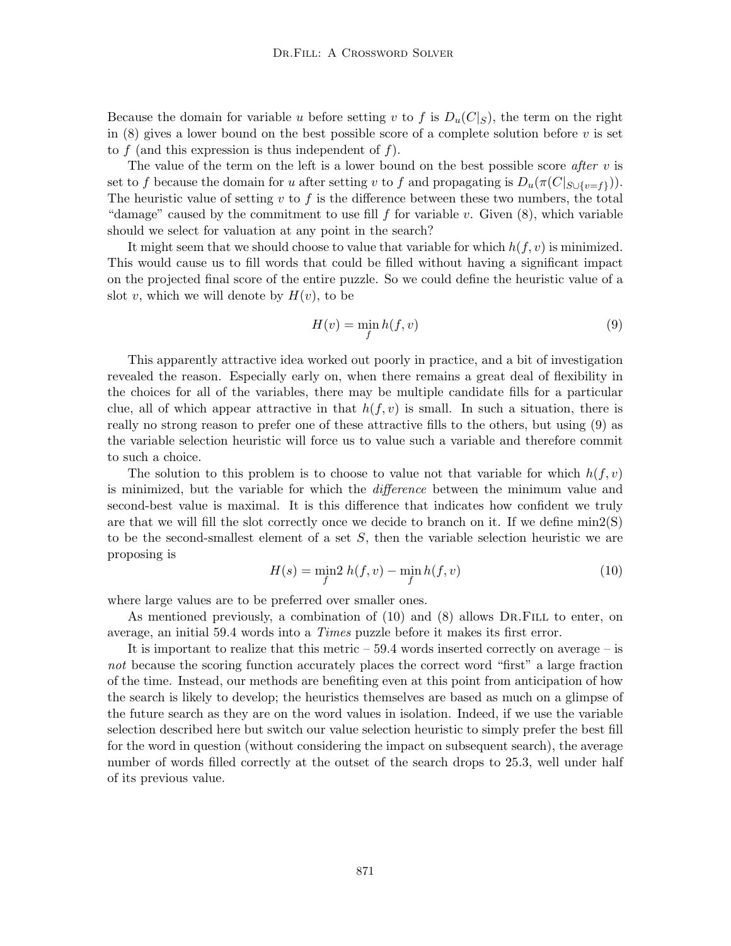Because the domain for variable u before setting v to f is  $D_u(C|_S)$ , the term on the right in  $(8)$  gives a lower bound on the best possible score of a complete solution before v is set to  $f$  (and this expression is thus independent of  $f$ ).

The value of the term on the left is a lower bound on the best possible score *after*  $v$  is set to f because the domain for u after setting v to f and propagating is  $D_u(\pi(C|_{S\cup\{v=f\}})).$ The heuristic value of setting  $v$  to  $f$  is the difference between these two numbers, the total "damage" caused by the commitment to use fill f for variable v. Given  $(8)$ , which variable should we select for valuation at any point in the search?

It might seem that we should choose to value that variable for which  $h(f, v)$  is minimized. This would cause us to fill words that could be filled without having a significant impact on the projected final score of the entire puzzle. So we could define the heuristic value of a slot v, which we will denote by  $H(v)$ , to be

$$
H(v) = \min_{f} h(f, v)
$$
\n(9)

This apparently attractive idea worked out poorly in practice, and a bit of investigation revealed the reason. Especially early on, when there remains a great deal of flexibility in the choices for all of the variables, there may be multiple candidate fills for a particular clue, all of which appear attractive in that  $h(f, v)$  is small. In such a situation, there is really no strong reason to prefer one of these attractive fills to the others, but using (9) as the variable selection heuristic will force us to value such a variable and therefore commit to such a choice.

The solution to this problem is to choose to value not that variable for which  $h(f, v)$ is minimized, but the variable for which the difference between the minimum value and second-best value is maximal. It is this difference that indicates how confident we truly are that we will fill the slot correctly once we decide to branch on it. If we define min2(S) to be the second-smallest element of a set S, then the variable selection heuristic we are proposing is

$$
H(s) = \min_{f} h(f, v) - \min_{f} h(f, v)
$$
\n(10)

where large values are to be preferred over smaller ones.

As mentioned previously, a combination of (10) and (8) allows Dr.Fill to enter, on average, an initial 59.4 words into a Times puzzle before it makes its first error.

It is important to realize that this metric  $-59.4$  words inserted correctly on average  $-$  is not because the scoring function accurately places the correct word "first" a large fraction of the time. Instead, our methods are benefiting even at this point from anticipation of how the search is likely to develop; the heuristics themselves are based as much on a glimpse of the future search as they are on the word values in isolation. Indeed, if we use the variable selection described here but switch our value selection heuristic to simply prefer the best fill for the word in question (without considering the impact on subsequent search), the average number of words filled correctly at the outset of the search drops to 25.3, well under half of its previous value.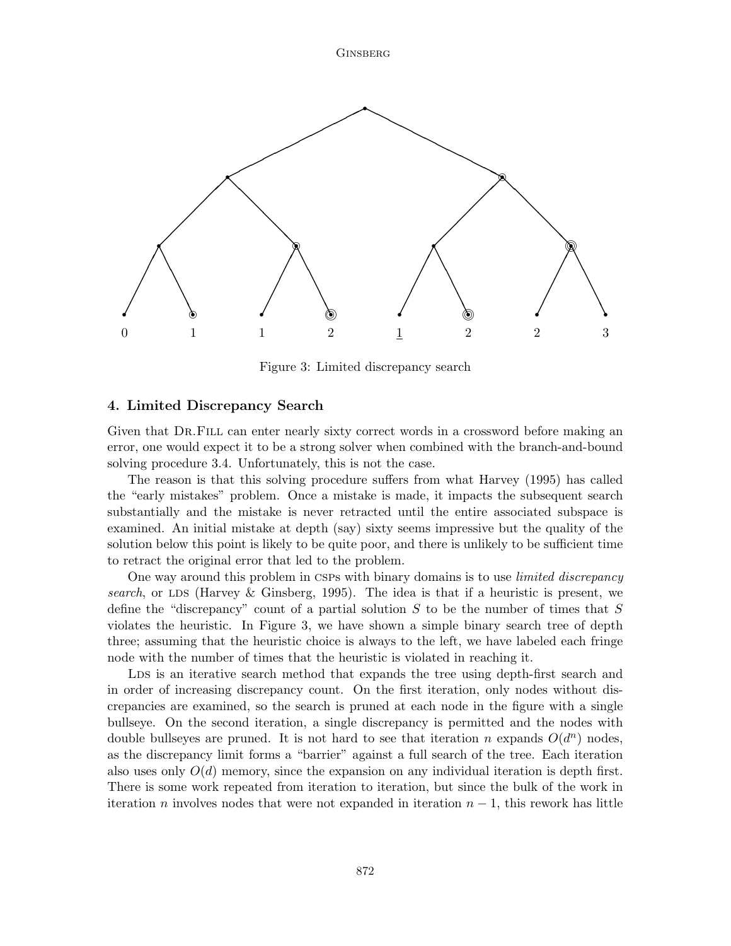

Figure 3: Limited discrepancy search

## 4. Limited Discrepancy Search

Given that DR.FILL can enter nearly sixty correct words in a crossword before making an error, one would expect it to be a strong solver when combined with the branch-and-bound solving procedure 3.4. Unfortunately, this is not the case.

The reason is that this solving procedure suffers from what Harvey (1995) has called the "early mistakes" problem. Once a mistake is made, it impacts the subsequent search substantially and the mistake is never retracted until the entire associated subspace is examined. An initial mistake at depth (say) sixty seems impressive but the quality of the solution below this point is likely to be quite poor, and there is unlikely to be sufficient time to retract the original error that led to the problem.

One way around this problem in CSPs with binary domains is to use *limited discrepancy* search, or LDS (Harvey & Ginsberg, 1995). The idea is that if a heuristic is present, we define the "discrepancy" count of a partial solution  $S$  to be the number of times that  $S$ violates the heuristic. In Figure 3, we have shown a simple binary search tree of depth three; assuming that the heuristic choice is always to the left, we have labeled each fringe node with the number of times that the heuristic is violated in reaching it.

LDS is an iterative search method that expands the tree using depth-first search and in order of increasing discrepancy count. On the first iteration, only nodes without discrepancies are examined, so the search is pruned at each node in the figure with a single bullseye. On the second iteration, a single discrepancy is permitted and the nodes with double bullseyes are pruned. It is not hard to see that iteration n expands  $O(d^n)$  nodes, as the discrepancy limit forms a "barrier" against a full search of the tree. Each iteration also uses only  $O(d)$  memory, since the expansion on any individual iteration is depth first. There is some work repeated from iteration to iteration, but since the bulk of the work in iteration n involves nodes that were not expanded in iteration  $n-1$ , this rework has little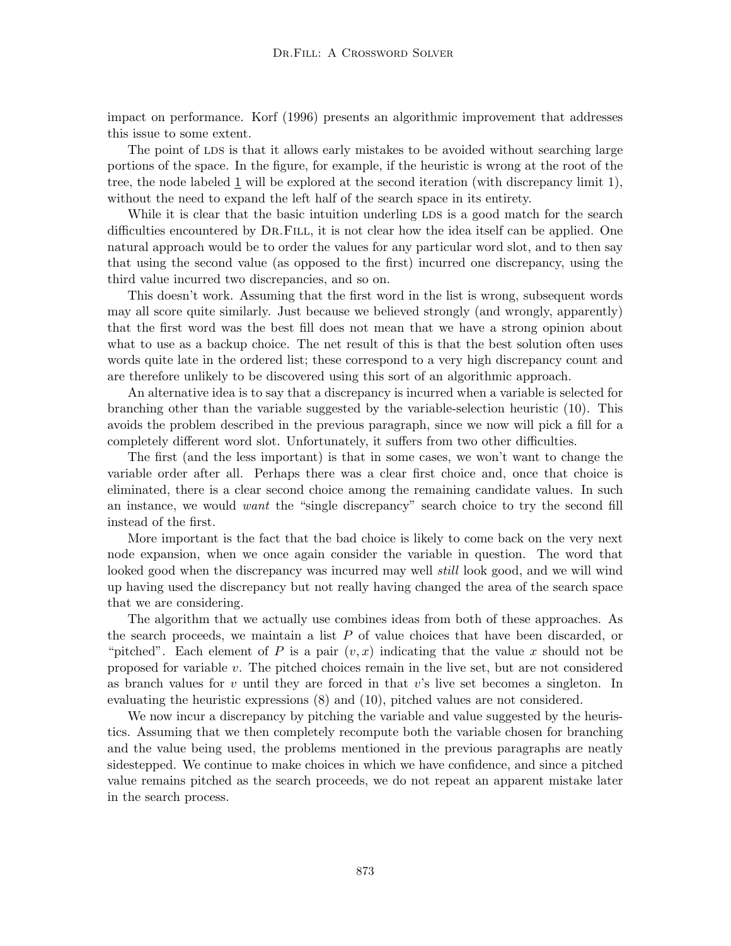impact on performance. Korf (1996) presents an algorithmic improvement that addresses this issue to some extent.

The point of LDS is that it allows early mistakes to be avoided without searching large portions of the space. In the figure, for example, if the heuristic is wrong at the root of the tree, the node labeled 1 will be explored at the second iteration (with discrepancy limit 1), without the need to expand the left half of the search space in its entirety.

While it is clear that the basic intuition underling LDS is a good match for the search difficulties encountered by DR.FILL, it is not clear how the idea itself can be applied. One natural approach would be to order the values for any particular word slot, and to then say that using the second value (as opposed to the first) incurred one discrepancy, using the third value incurred two discrepancies, and so on.

This doesn't work. Assuming that the first word in the list is wrong, subsequent words may all score quite similarly. Just because we believed strongly (and wrongly, apparently) that the first word was the best fill does not mean that we have a strong opinion about what to use as a backup choice. The net result of this is that the best solution often uses words quite late in the ordered list; these correspond to a very high discrepancy count and are therefore unlikely to be discovered using this sort of an algorithmic approach.

An alternative idea is to say that a discrepancy is incurred when a variable is selected for branching other than the variable suggested by the variable-selection heuristic (10). This avoids the problem described in the previous paragraph, since we now will pick a fill for a completely different word slot. Unfortunately, it suffers from two other difficulties.

The first (and the less important) is that in some cases, we won't want to change the variable order after all. Perhaps there was a clear first choice and, once that choice is eliminated, there is a clear second choice among the remaining candidate values. In such an instance, we would want the "single discrepancy" search choice to try the second fill instead of the first.

More important is the fact that the bad choice is likely to come back on the very next node expansion, when we once again consider the variable in question. The word that looked good when the discrepancy was incurred may well *still* look good, and we will wind up having used the discrepancy but not really having changed the area of the search space that we are considering.

The algorithm that we actually use combines ideas from both of these approaches. As the search proceeds, we maintain a list  $P$  of value choices that have been discarded, or "pitched". Each element of P is a pair  $(v, x)$  indicating that the value x should not be proposed for variable v. The pitched choices remain in the live set, but are not considered as branch values for  $v$  until they are forced in that  $v$ 's live set becomes a singleton. In evaluating the heuristic expressions (8) and (10), pitched values are not considered.

We now incur a discrepancy by pitching the variable and value suggested by the heuristics. Assuming that we then completely recompute both the variable chosen for branching and the value being used, the problems mentioned in the previous paragraphs are neatly sidestepped. We continue to make choices in which we have confidence, and since a pitched value remains pitched as the search proceeds, we do not repeat an apparent mistake later in the search process.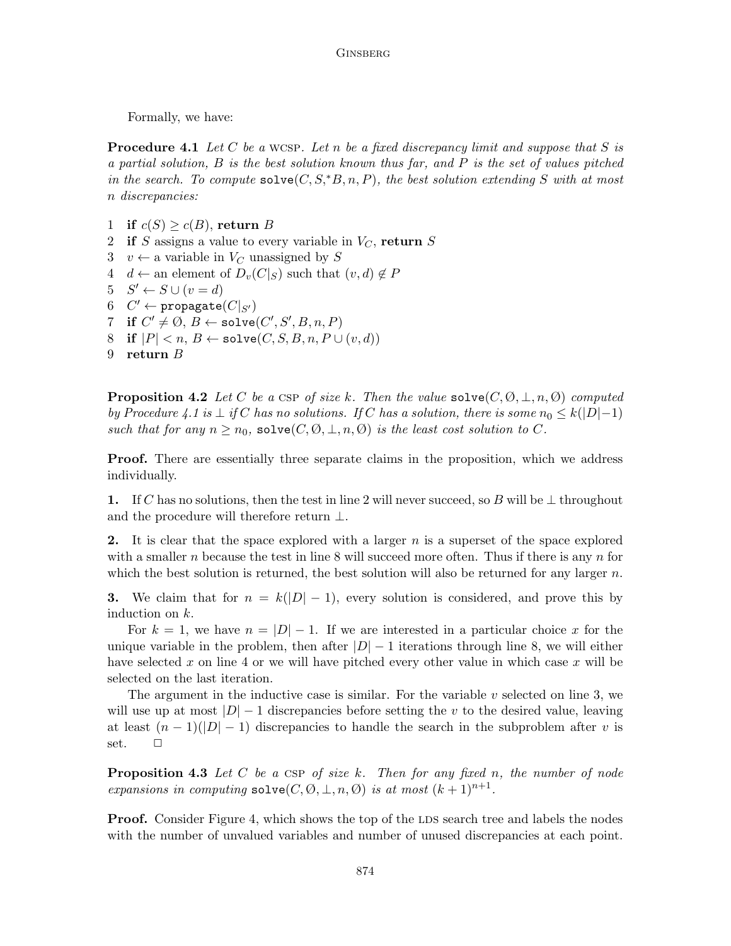Formally, we have:

**Procedure 4.1** Let C be a WCSP. Let n be a fixed discrepancy limit and suppose that S is a partial solution,  $B$  is the best solution known thus far, and  $P$  is the set of values pitched in the search. To compute  $\text{solve}(C, S, *B, n, P)$ , the best solution extending S with at most n discrepancies:

1 if  $c(S) \geq c(B)$ , return B 2 if S assigns a value to every variable in  $V_C$ , return S 3  $v \leftarrow$  a variable in  $V_C$  unassigned by S 4 d ← an element of  $D_v(C|_S)$  such that  $(v, d) \notin P$ 5  $S' \leftarrow S \cup (v = d)$  $6 \quad C' \leftarrow \texttt{propagate}(C|_{S'})$ 7 if  $C' \neq \emptyset$ ,  $B \leftarrow \mathtt{solve}(C', S', B, n, P)$ 8 if  $|P| < n$ ,  $B \leftarrow \texttt{solve}(C, S, B, n, P \cup (v, d))$ 

9 return B

**Proposition 4.2** Let C be a CSP of size k. Then the value  $\text{solve}(C, \emptyset, \bot, n, \emptyset)$  computed by Procedure 4.1 is  $\perp$  if C has no solutions. If C has a solution, there is some  $n_0 \leq k(|D|-1)$ such that for any  $n \ge n_0$ , solve $(C, \emptyset, \perp, n, \emptyset)$  is the least cost solution to C.

**Proof.** There are essentially three separate claims in the proposition, which we address individually.

1. If C has no solutions, then the test in line 2 will never succeed, so B will be  $\perp$  throughout and the procedure will therefore return  $\perp$ .

2. It is clear that the space explored with a larger  $n$  is a superset of the space explored with a smaller n because the test in line 8 will succeed more often. Thus if there is any  $n$  for which the best solution is returned, the best solution will also be returned for any larger  $n$ .

3. We claim that for  $n = k(|D|-1)$ , every solution is considered, and prove this by induction on  $k$ .

For  $k = 1$ , we have  $n = |D| - 1$ . If we are interested in a particular choice x for the unique variable in the problem, then after  $|D|-1$  iterations through line 8, we will either have selected x on line 4 or we will have pitched every other value in which case  $x$  will be selected on the last iteration.

The argument in the inductive case is similar. For the variable  $v$  selected on line 3, we will use up at most  $|D|-1$  discrepancies before setting the v to the desired value, leaving at least  $(n-1)(|D|-1)$  discrepancies to handle the search in the subproblem after v is set.  $\Box$ 

**Proposition 4.3** Let C be a CSP of size k. Then for any fixed n, the number of node expansions in computing  $\text{solve}(C, \emptyset, \bot, n, \emptyset)$  is at most  $(k+1)^{n+1}$ .

**Proof.** Consider Figure 4, which shows the top of the LDS search tree and labels the nodes with the number of unvalued variables and number of unused discrepancies at each point.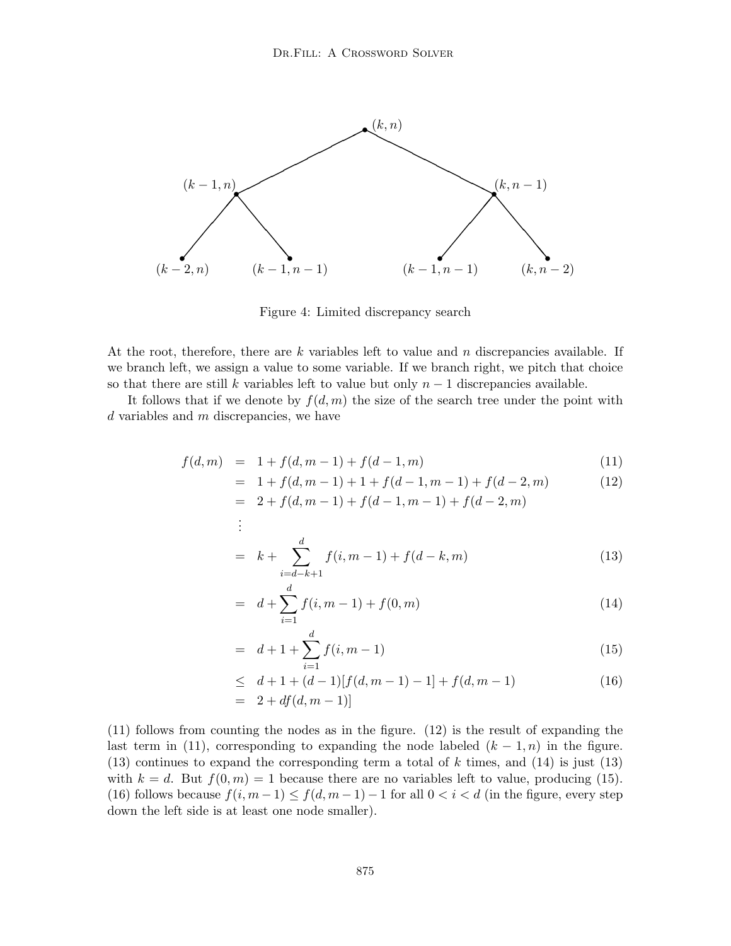

Figure 4: Limited discrepancy search

At the root, therefore, there are  $k$  variables left to value and  $n$  discrepancies available. If we branch left, we assign a value to some variable. If we branch right, we pitch that choice so that there are still k variables left to value but only  $n-1$  discrepancies available.

It follows that if we denote by  $f(d, m)$  the size of the search tree under the point with  $d$  variables and  $m$  discrepancies, we have

$$
f(d,m) = 1 + f(d,m-1) + f(d-1,m)
$$
\n(11)

$$
= 1 + f(d, m - 1) + 1 + f(d - 1, m - 1) + f(d - 2, m) \tag{12}
$$

$$
= 2 + f(d, m - 1) + f(d - 1, m - 1) + f(d - 2, m)
$$

$$
\begin{aligned}\n\vdots \\
k + \sum_{i=d-k+1}^{d} f(i, m-1) + f(d-k, m)\n\end{aligned} \tag{13}
$$

$$
= d + \sum_{i=1}^{d} f(i, m-1) + f(0, m) \tag{14}
$$

$$
= d + 1 + \sum_{i=1}^{d} f(i, m-1) \tag{15}
$$

$$
\leq d+1+(d-1)[f(d,m-1)-1]+f(d,m-1) \tag{16}
$$
  
= 2+df(d,m-1)]

(11) follows from counting the nodes as in the figure. (12) is the result of expanding the last term in (11), corresponding to expanding the node labeled  $(k-1,n)$  in the figure.  $(13)$  continues to expand the corresponding term a total of k times, and  $(14)$  is just  $(13)$ with  $k = d$ . But  $f(0, m) = 1$  because there are no variables left to value, producing (15). (16) follows because  $f(i, m-1) \le f(d, m-1) - 1$  for all  $0 < i < d$  (in the figure, every step down the left side is at least one node smaller).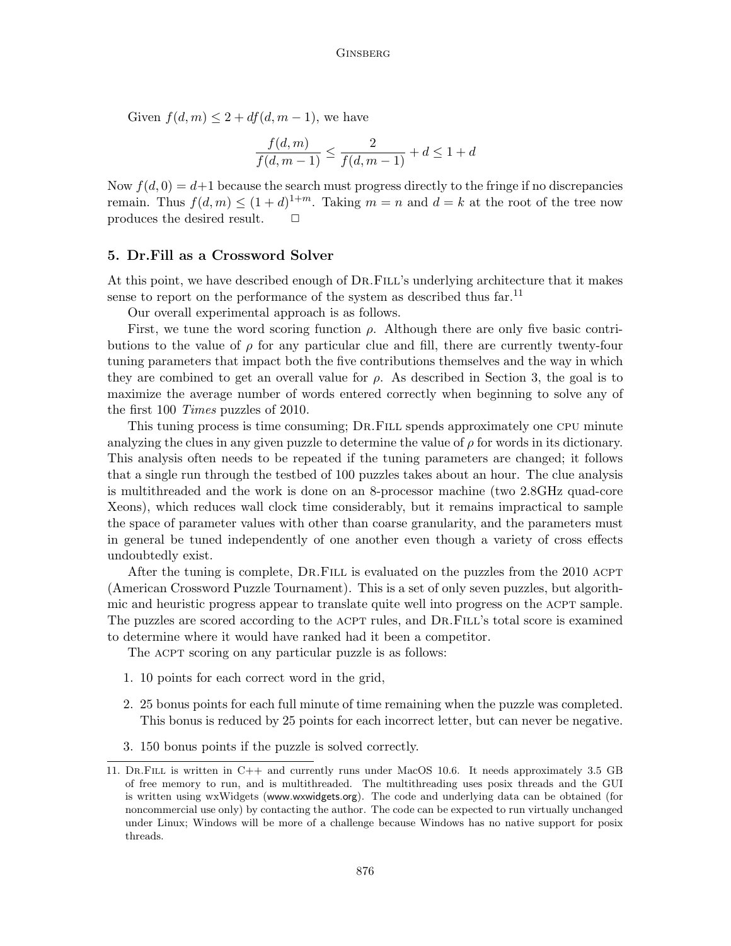Given  $f(d, m) \leq 2 + df(d, m - 1)$ , we have

$$
\frac{f(d,m)}{f(d,m-1)} \le \frac{2}{f(d,m-1)} + d \le 1 + d
$$

Now  $f(d, 0) = d+1$  because the search must progress directly to the fringe if no discrepancies remain. Thus  $f(d, m) \leq (1+d)^{1+m}$ . Taking  $m = n$  and  $d = k$  at the root of the tree now produces the desired result.  $\Box$ 

## 5. Dr.Fill as a Crossword Solver

At this point, we have described enough of DR.FILL's underlying architecture that it makes sense to report on the performance of the system as described thus far.<sup>11</sup>

Our overall experimental approach is as follows.

First, we tune the word scoring function  $\rho$ . Although there are only five basic contributions to the value of  $\rho$  for any particular clue and fill, there are currently twenty-four tuning parameters that impact both the five contributions themselves and the way in which they are combined to get an overall value for  $\rho$ . As described in Section 3, the goal is to maximize the average number of words entered correctly when beginning to solve any of the first 100 Times puzzles of 2010.

This tuning process is time consuming; Dr.Fill spends approximately one cpu minute analyzing the clues in any given puzzle to determine the value of  $\rho$  for words in its dictionary. This analysis often needs to be repeated if the tuning parameters are changed; it follows that a single run through the testbed of 100 puzzles takes about an hour. The clue analysis is multithreaded and the work is done on an 8-processor machine (two 2.8GHz quad-core Xeons), which reduces wall clock time considerably, but it remains impractical to sample the space of parameter values with other than coarse granularity, and the parameters must in general be tuned independently of one another even though a variety of cross effects undoubtedly exist.

After the tuning is complete, DR.FILL is evaluated on the puzzles from the 2010 ACPT (American Crossword Puzzle Tournament). This is a set of only seven puzzles, but algorithmic and heuristic progress appear to translate quite well into progress on the ACPT sample. The puzzles are scored according to the ACPT rules, and DR. FILL's total score is examined to determine where it would have ranked had it been a competitor.

The ACPT scoring on any particular puzzle is as follows:

- 1. 10 points for each correct word in the grid,
- 2. 25 bonus points for each full minute of time remaining when the puzzle was completed. This bonus is reduced by 25 points for each incorrect letter, but can never be negative.
- 3. 150 bonus points if the puzzle is solved correctly.

<sup>11.</sup> DR.FILL is written in  $C++$  and currently runs under MacOS 10.6. It needs approximately 3.5 GB of free memory to run, and is multithreaded. The multithreading uses posix threads and the GUI is written using wxWidgets (www.wxwidgets.org). The code and underlying data can be obtained (for noncommercial use only) by contacting the author. The code can be expected to run virtually unchanged under Linux; Windows will be more of a challenge because Windows has no native support for posix threads.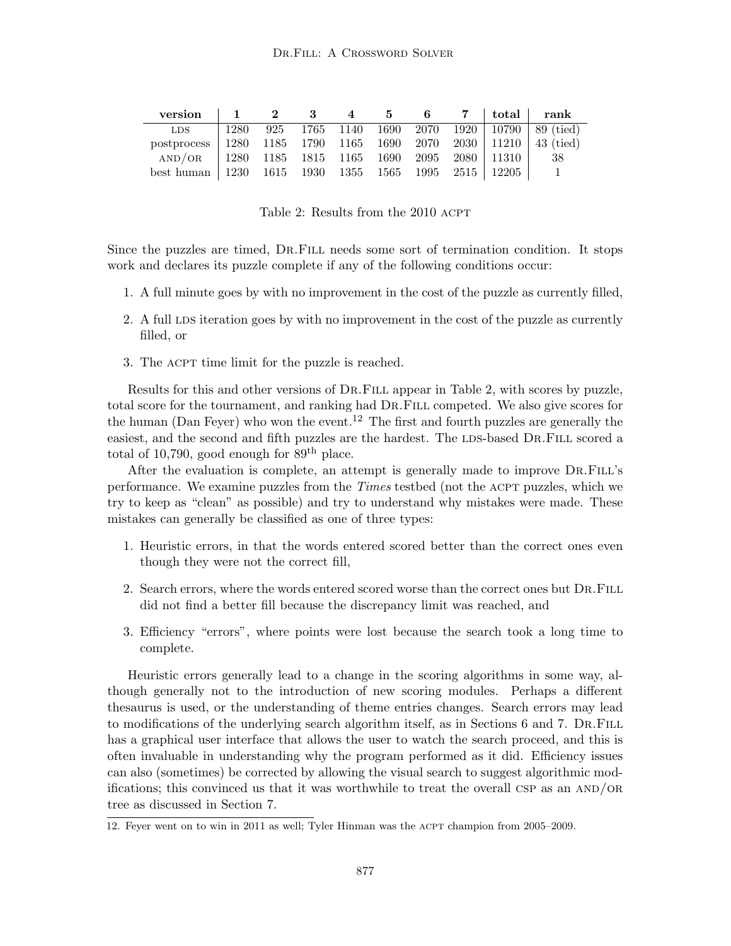| version                                                              |      | $2^{\circ}$ | $\overline{4}$ | 6 |                                            | 7   total   rank                               |
|----------------------------------------------------------------------|------|-------------|----------------|---|--------------------------------------------|------------------------------------------------|
| <b>LDS</b>                                                           | 1280 |             |                |   |                                            | 925 1765 1140 1690 2070 1920   10790 89 (tied) |
| postprocess   1280 1185 1790 1165 1690 2070 2030   11210   43 (tied) |      |             |                |   |                                            |                                                |
| AND/OR                                                               |      |             |                |   | 1280 1185 1815 1165 1690 2095 2080   11310 | - 38                                           |
| best human   1230 1615 1930 1355 1565 1995 2515   12205              |      |             |                |   |                                            |                                                |

Table 2: Results from the 2010 ACPT

Since the puzzles are timed, Dr.Fill needs some sort of termination condition. It stops work and declares its puzzle complete if any of the following conditions occur:

- 1. A full minute goes by with no improvement in the cost of the puzzle as currently filled,
- 2. A full LDS iteration goes by with no improvement in the cost of the puzzle as currently filled, or
- 3. The ACPT time limit for the puzzle is reached.

Results for this and other versions of Dr.Fill appear in Table 2, with scores by puzzle, total score for the tournament, and ranking had Dr.Fill competed. We also give scores for the human (Dan Feyer) who won the event.<sup>12</sup> The first and fourth puzzles are generally the easiest, and the second and fifth puzzles are the hardest. The LDS-based DR.FILL scored a total of 10,790, good enough for  $89<sup>th</sup>$  place.

After the evaluation is complete, an attempt is generally made to improve DR.FILL's performance. We examine puzzles from the *Times* testbed (not the ACPT puzzles, which we try to keep as "clean" as possible) and try to understand why mistakes were made. These mistakes can generally be classified as one of three types:

- 1. Heuristic errors, in that the words entered scored better than the correct ones even though they were not the correct fill,
- 2. Search errors, where the words entered scored worse than the correct ones but DR. FILL did not find a better fill because the discrepancy limit was reached, and
- 3. Efficiency "errors", where points were lost because the search took a long time to complete.

Heuristic errors generally lead to a change in the scoring algorithms in some way, although generally not to the introduction of new scoring modules. Perhaps a different thesaurus is used, or the understanding of theme entries changes. Search errors may lead to modifications of the underlying search algorithm itself, as in Sections 6 and 7. DR. FILL has a graphical user interface that allows the user to watch the search proceed, and this is often invaluable in understanding why the program performed as it did. Efficiency issues can also (sometimes) be corrected by allowing the visual search to suggest algorithmic modifications; this convinced us that it was worthwhile to treat the overall CSP as an AND/OR tree as discussed in Section 7.

<sup>12.</sup> Feyer went on to win in 2011 as well; Tyler Hinman was the acpt champion from 2005–2009.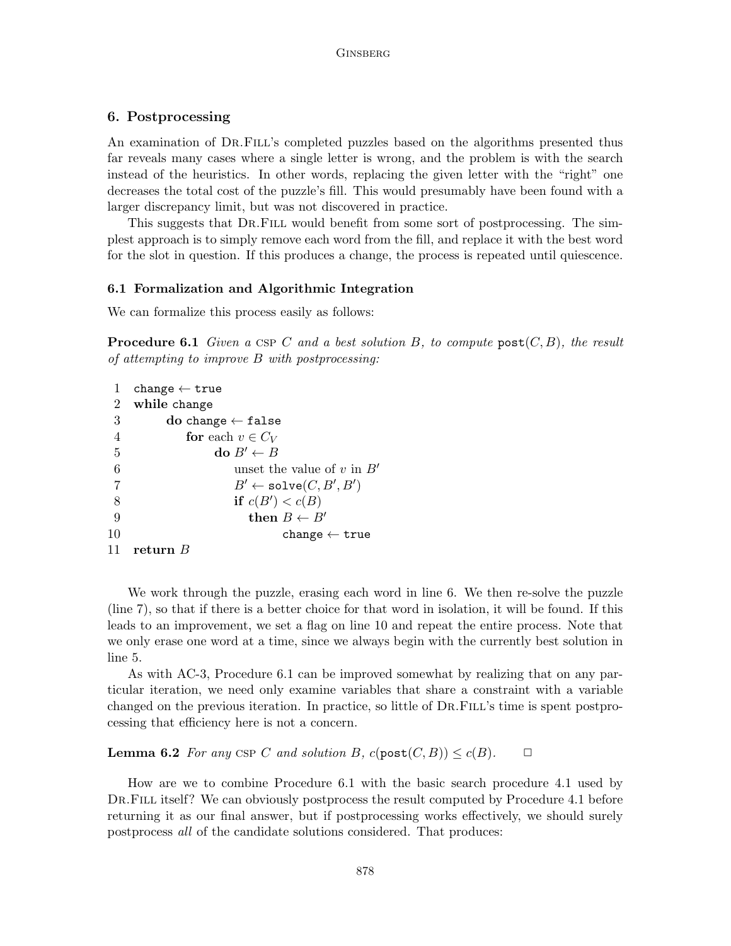## 6. Postprocessing

An examination of Dr.Fill's completed puzzles based on the algorithms presented thus far reveals many cases where a single letter is wrong, and the problem is with the search instead of the heuristics. In other words, replacing the given letter with the "right" one decreases the total cost of the puzzle's fill. This would presumably have been found with a larger discrepancy limit, but was not discovered in practice.

This suggests that Dr.Fill would benefit from some sort of postprocessing. The simplest approach is to simply remove each word from the fill, and replace it with the best word for the slot in question. If this produces a change, the process is repeated until quiescence.

## 6.1 Formalization and Algorithmic Integration

We can formalize this process easily as follows:

**Procedure 6.1** Given a CSP C and a best solution B, to compute  $post(C, B)$ , the result of attempting to improve B with postprocessing:

```
1 change \leftarrow true
2 while change
3 do change \leftarrow false
4 for each v \in C_V5 do B' \leftarrow B6 unset the value of v in B'7 and B' \leftarrow \texttt{solve}(C, B', B')8 if c(B') < c(B)9 then B \leftarrow B'10 change \leftarrow true
11 return B
```
We work through the puzzle, erasing each word in line 6. We then re-solve the puzzle (line 7), so that if there is a better choice for that word in isolation, it will be found. If this leads to an improvement, we set a flag on line 10 and repeat the entire process. Note that we only erase one word at a time, since we always begin with the currently best solution in line 5.

As with AC-3, Procedure 6.1 can be improved somewhat by realizing that on any particular iteration, we need only examine variables that share a constraint with a variable changed on the previous iteration. In practice, so little of Dr.Fill's time is spent postprocessing that efficiency here is not a concern.

**Lemma 6.2** For any CSP C and solution B,  $c$ ( $\text{post}(C, B)$ )  $\leq c(B)$ .  $\Box$ 

How are we to combine Procedure 6.1 with the basic search procedure 4.1 used by DR. FILL itself? We can obviously postprocess the result computed by Procedure 4.1 before returning it as our final answer, but if postprocessing works effectively, we should surely postprocess all of the candidate solutions considered. That produces: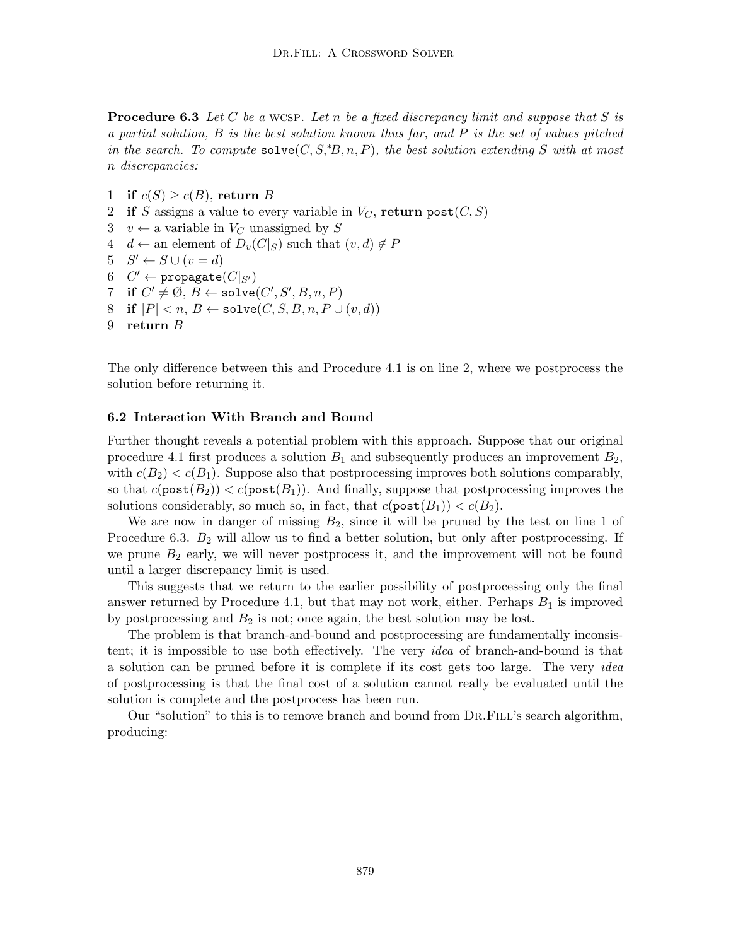**Procedure 6.3** Let C be a WCSP. Let n be a fixed discrepancy limit and suppose that S is a partial solution, B is the best solution known thus far, and P is the set of values pitched in the search. To compute  $\text{solve}(C, S, *B, n, P)$ , the best solution extending S with at most n discrepancies:

1 if  $c(S) \geq c(B)$ , return B 2 if S assigns a value to every variable in  $V_C$ , return post $(C, S)$ 

- 3  $v \leftarrow$  a variable in  $V_C$  unassigned by S
- 4 d ← an element of  $D_v(C|_S)$  such that  $(v, d) \notin P$

```
5 S' \leftarrow S \cup (v = d)
```
- $6$   $C' \leftarrow \texttt{propagate}(C|_{S'})$
- 7 if  $C' \neq \emptyset$ ,  $B \leftarrow \mathtt{solve}(C', S', B, n, P)$
- 8 if  $|P| < n$ ,  $B \leftarrow \texttt{solve}(C, S, B, n, P \cup (v, d))$
- 9 return B

The only difference between this and Procedure 4.1 is on line 2, where we postprocess the solution before returning it.

## 6.2 Interaction With Branch and Bound

Further thought reveals a potential problem with this approach. Suppose that our original procedure 4.1 first produces a solution  $B_1$  and subsequently produces an improvement  $B_2$ , with  $c(B_2) < c(B_1)$ . Suppose also that postprocessing improves both solutions comparably, so that  $c(\text{post}(B_2)) < c(\text{post}(B_1))$ . And finally, suppose that postprocessing improves the solutions considerably, so much so, in fact, that  $c(\text{post}(B_1)) < c(B_2)$ .

We are now in danger of missing  $B_2$ , since it will be pruned by the test on line 1 of Procedure 6.3.  $B_2$  will allow us to find a better solution, but only after postprocessing. If we prune  $B_2$  early, we will never postprocess it, and the improvement will not be found until a larger discrepancy limit is used.

This suggests that we return to the earlier possibility of postprocessing only the final answer returned by Procedure 4.1, but that may not work, either. Perhaps  $B_1$  is improved by postprocessing and  $B_2$  is not; once again, the best solution may be lost.

The problem is that branch-and-bound and postprocessing are fundamentally inconsistent; it is impossible to use both effectively. The very idea of branch-and-bound is that a solution can be pruned before it is complete if its cost gets too large. The very idea of postprocessing is that the final cost of a solution cannot really be evaluated until the solution is complete and the postprocess has been run.

Our "solution" to this is to remove branch and bound from Dr.Fill's search algorithm, producing: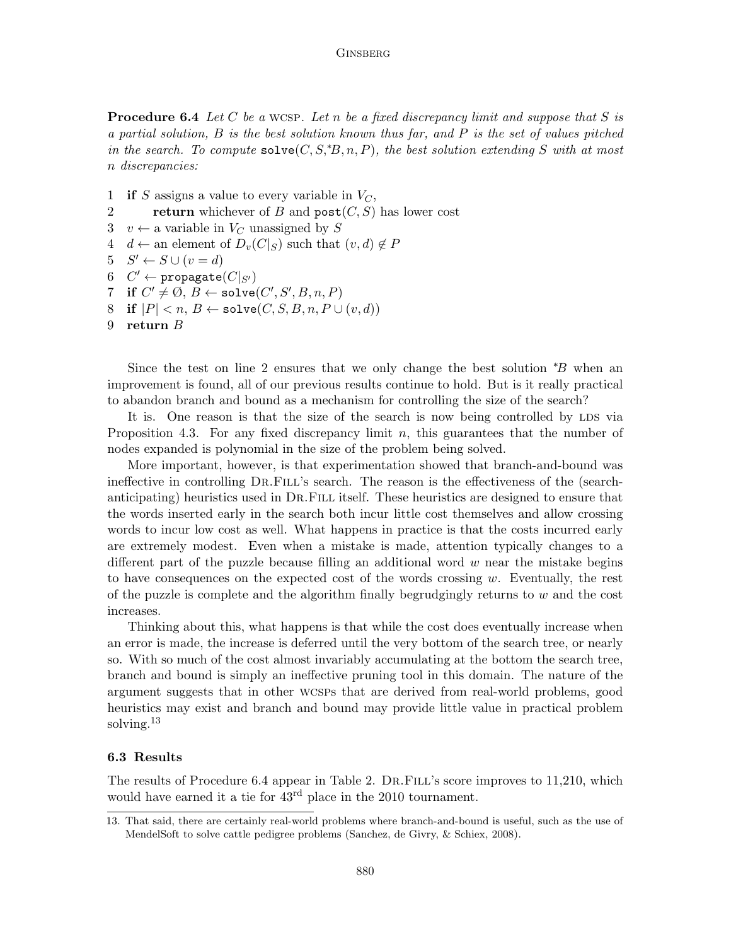**Procedure 6.4** Let C be a WCSP. Let n be a fixed discrepancy limit and suppose that S is a partial solution,  $B$  is the best solution known thus far, and  $P$  is the set of values pitched in the search. To compute  $\text{solve}(C, S, *B, n, P)$ , the best solution extending S with at most n discrepancies:

- 1 if S assigns a value to every variable in  $V_C$ ,
- 2 return whichever of B and  $post(C, S)$  has lower cost
- 3  $v \leftarrow$  a variable in  $V_C$  unassigned by S
- 4 d ← an element of  $D_v(C|_S)$  such that  $(v, d) \notin P$
- 5  $S' \leftarrow S \cup (v = d)$
- $6 \quad C' \leftarrow \texttt{propagate}(C|_{S'})$
- 7 if  $C' \neq \emptyset$ ,  $B \leftarrow \mathtt{solve}(C', S', B, n, P)$
- 8 if  $|P| < n, B \leftarrow \texttt{solve}(C, S, B, n, P \cup (v, d))$
- 9 return B

Since the test on line 2 ensures that we only change the best solution  $*B$  when an improvement is found, all of our previous results continue to hold. But is it really practical to abandon branch and bound as a mechanism for controlling the size of the search?

It is. One reason is that the size of the search is now being controlled by LDS via Proposition 4.3. For any fixed discrepancy limit  $n$ , this guarantees that the number of nodes expanded is polynomial in the size of the problem being solved.

More important, however, is that experimentation showed that branch-and-bound was ineffective in controlling Dr.Fill's search. The reason is the effectiveness of the (searchanticipating) heuristics used in DR. FILL itself. These heuristics are designed to ensure that the words inserted early in the search both incur little cost themselves and allow crossing words to incur low cost as well. What happens in practice is that the costs incurred early are extremely modest. Even when a mistake is made, attention typically changes to a different part of the puzzle because filling an additional word  $w$  near the mistake begins to have consequences on the expected cost of the words crossing  $w$ . Eventually, the rest of the puzzle is complete and the algorithm finally begrudgingly returns to  $w$  and the cost increases.

Thinking about this, what happens is that while the cost does eventually increase when an error is made, the increase is deferred until the very bottom of the search tree, or nearly so. With so much of the cost almost invariably accumulating at the bottom the search tree, branch and bound is simply an ineffective pruning tool in this domain. The nature of the argument suggests that in other wcsps that are derived from real-world problems, good heuristics may exist and branch and bound may provide little value in practical problem solving.<sup>13</sup>

## 6.3 Results

The results of Procedure 6.4 appear in Table 2. DR. FILL's score improves to 11,210, which would have earned it a tie for  $43^{\text{rd}}$  place in the 2010 tournament.

<sup>13.</sup> That said, there are certainly real-world problems where branch-and-bound is useful, such as the use of MendelSoft to solve cattle pedigree problems (Sanchez, de Givry, & Schiex, 2008).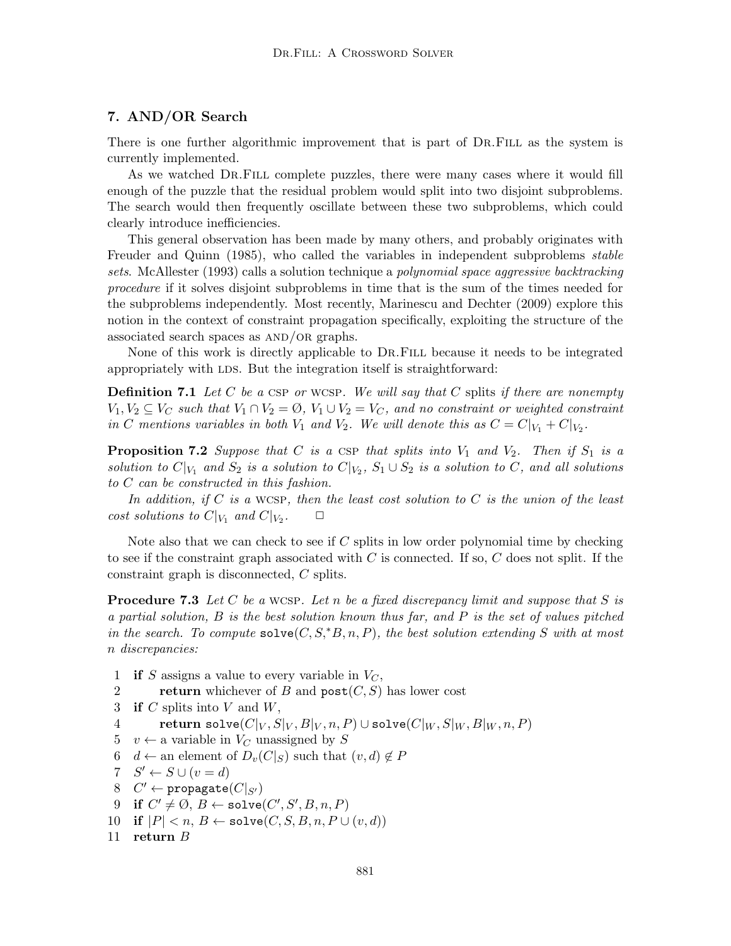## 7. AND/OR Search

There is one further algorithmic improvement that is part of DR.FILL as the system is currently implemented.

As we watched DR.FILL complete puzzles, there were many cases where it would fill enough of the puzzle that the residual problem would split into two disjoint subproblems. The search would then frequently oscillate between these two subproblems, which could clearly introduce inefficiencies.

This general observation has been made by many others, and probably originates with Freuder and Quinn (1985), who called the variables in independent subproblems *stable* sets. McAllester (1993) calls a solution technique a polynomial space aggressive backtracking procedure if it solves disjoint subproblems in time that is the sum of the times needed for the subproblems independently. Most recently, Marinescu and Dechter (2009) explore this notion in the context of constraint propagation specifically, exploiting the structure of the associated search spaces as  $AND/OR$  graphs.

None of this work is directly applicable to Dr.Fill because it needs to be integrated appropriately with LDS. But the integration itself is straightforward:

**Definition 7.1** Let C be a CSP or WCSP. We will say that C splits if there are nonempty  $V_1, V_2 \subseteq V_C$  such that  $V_1 \cap V_2 = \emptyset$ ,  $V_1 \cup V_2 = V_C$ , and no constraint or weighted constraint in C mentions variables in both  $V_1$  and  $V_2$ . We will denote this as  $C = C|_{V_1} + C|_{V_2}$ .

**Proposition 7.2** Suppose that C is a CSP that splits into  $V_1$  and  $V_2$ . Then if  $S_1$  is a solution to  $C|_{V_1}$  and  $S_2$  is a solution to  $C|_{V_2}$ ,  $S_1 \cup S_2$  is a solution to  $C$ , and all solutions to C can be constructed in this fashion.

In addition, if  $C$  is a WCSP, then the least cost solution to  $C$  is the union of the least cost solutions to  $C|_{V_1}$  and  $C|_{V_2}$  $\Box$ 

Note also that we can check to see if  $C$  splits in low order polynomial time by checking to see if the constraint graph associated with  $C$  is connected. If so,  $C$  does not split. If the constraint graph is disconnected, C splits.

**Procedure 7.3** Let C be a WCSP. Let n be a fixed discrepancy limit and suppose that S is a partial solution,  $B$  is the best solution known thus far, and  $P$  is the set of values pitched in the search. To compute  $\text{solve}(C, S, *B, n, P)$ , the best solution extending S with at most n discrepancies:

1 if S assigns a value to every variable in  $V_C$ ,

2 return whichever of B and  $post(C, S)$  has lower cost

3 if C splits into V and  $W$ ,

4 return solve $(C|_V, S|_V, B|_V, n, P) \cup$  solve $(C|_W, S|_W, B|_W, n, P)$ 

- 5  $v \leftarrow$  a variable in  $V_C$  unassigned by S
- 6 d ← an element of  $D_v(C|_S)$  such that  $(v, d) \notin P$
- $7 \quad S' \leftarrow S \cup (v = d)$
- $8 \quad C' \leftarrow \texttt{propagate}(C|_{S'})$
- 9 if  $C' \neq \emptyset$ ,  $B \leftarrow \mathtt{solve}(C', S', B, n, P)$
- 10 if  $|P| < n$ ,  $B \leftarrow \texttt{solve}(C, S, B, n, P \cup (v, d))$

```
11 return B
```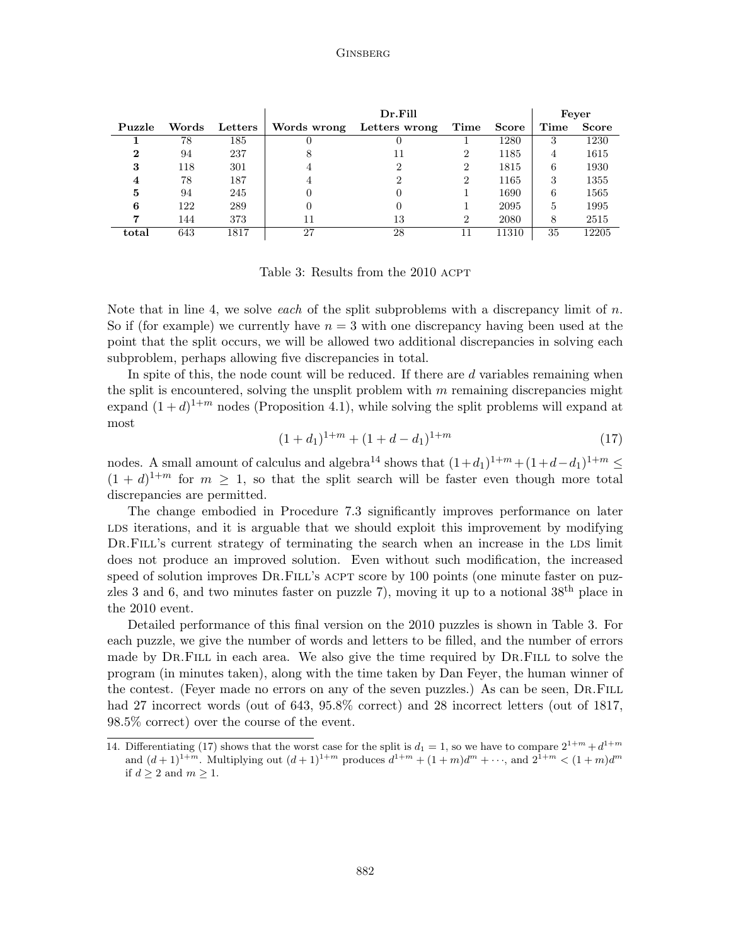|        |       |         |             | Feyer         |      |       |      |              |
|--------|-------|---------|-------------|---------------|------|-------|------|--------------|
| Puzzle | Words | Letters | Words wrong | Letters wrong | Time | Score | Time | <b>Score</b> |
|        | 78    | 185     |             |               |      | 1280  | 3    | 1230         |
| 2      | 94    | 237     |             |               |      | 1185  | 4    | 1615         |
| 3      | 118   | 301     |             |               | 2    | 1815  | 6    | 1930         |
| 4      | 78    | 187     |             |               | 2    | 1165  | 3    | 1355         |
| 5      | 94    | 245     |             |               |      | 1690  | 6    | 1565         |
| 6      | 122   | 289     |             |               |      | 2095  | 5    | 1995         |
|        | 144   | 373     |             | 13            | 2    | 2080  |      | 2515         |
| total  | 643   | 1817    | 27          | 28            |      | 11310 | 35   | 12205        |

Table 3: Results from the 2010 ACPT

Note that in line 4, we solve each of the split subproblems with a discrepancy limit of  $n$ . So if (for example) we currently have  $n = 3$  with one discrepancy having been used at the point that the split occurs, we will be allowed two additional discrepancies in solving each subproblem, perhaps allowing five discrepancies in total.

In spite of this, the node count will be reduced. If there are d variables remaining when the split is encountered, solving the unsplit problem with  $m$  remaining discrepancies might expand  $(1+d)^{1+m}$  nodes (Proposition 4.1), while solving the split problems will expand at most

$$
(1+d_1)^{1+m} + (1+d-d_1)^{1+m} \tag{17}
$$

nodes. A small amount of calculus and algebra<sup>14</sup> shows that  $(1+d_1)^{1+m} + (1+d-d_1)^{1+m} \le$  $(1+d)^{1+m}$  for  $m \geq 1$ , so that the split search will be faster even though more total discrepancies are permitted.

The change embodied in Procedure 7.3 significantly improves performance on later LDS iterations, and it is arguable that we should exploit this improvement by modifying DR.FILL's current strategy of terminating the search when an increase in the LDS limit does not produce an improved solution. Even without such modification, the increased speed of solution improves DR.FILL's ACPT score by 100 points (one minute faster on puzzles 3 and 6, and two minutes faster on puzzle 7), moving it up to a notional  $38<sup>th</sup>$  place in the 2010 event.

Detailed performance of this final version on the 2010 puzzles is shown in Table 3. For each puzzle, we give the number of words and letters to be filled, and the number of errors made by DR.FILL in each area. We also give the time required by DR.FILL to solve the program (in minutes taken), along with the time taken by Dan Feyer, the human winner of the contest. (Feyer made no errors on any of the seven puzzles.) As can be seen, DR.FILL had 27 incorrect words (out of 643, 95.8% correct) and 28 incorrect letters (out of 1817, 98.5% correct) over the course of the event.

<sup>14.</sup> Differentiating (17) shows that the worst case for the split is  $d_1 = 1$ , so we have to compare  $2^{1+m} + d^{1+m}$ and  $(d+1)^{1+m}$ . Multiplying out  $(d+1)^{1+m}$  produces  $d^{1+m} + (1+m)d^m + \cdots$ , and  $2^{1+m} < (1+m)d^m$ if  $d \geq 2$  and  $m \geq 1$ .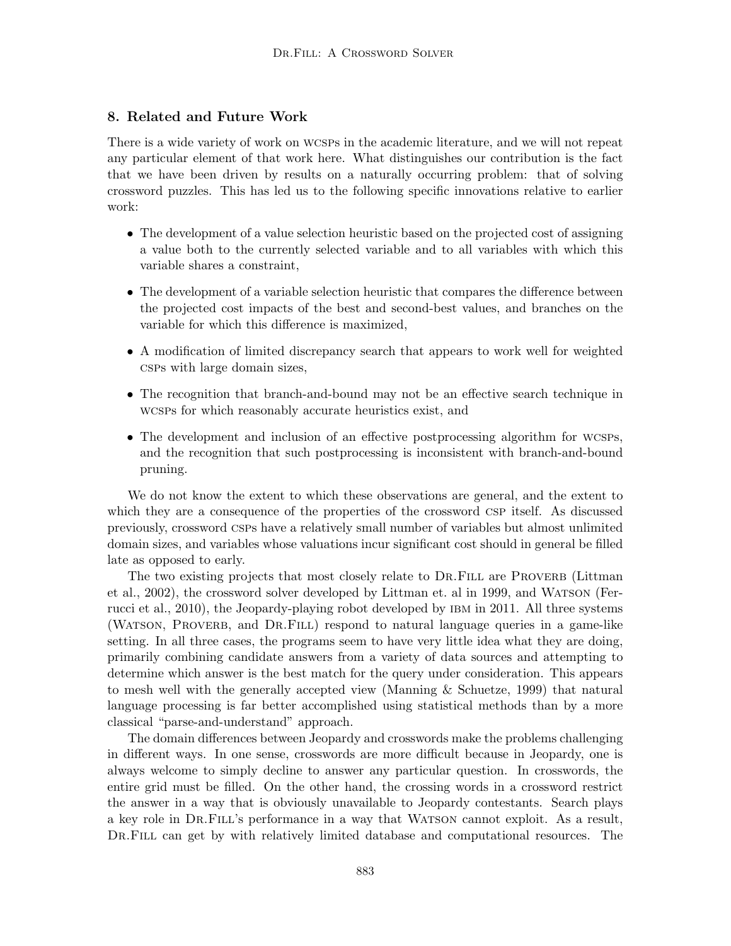## 8. Related and Future Work

There is a wide variety of work on wcsps in the academic literature, and we will not repeat any particular element of that work here. What distinguishes our contribution is the fact that we have been driven by results on a naturally occurring problem: that of solving crossword puzzles. This has led us to the following specific innovations relative to earlier work:

- The development of a value selection heuristic based on the projected cost of assigning a value both to the currently selected variable and to all variables with which this variable shares a constraint,
- The development of a variable selection heuristic that compares the difference between the projected cost impacts of the best and second-best values, and branches on the variable for which this difference is maximized,
- A modification of limited discrepancy search that appears to work well for weighted csps with large domain sizes,
- The recognition that branch-and-bound may not be an effective search technique in wcsps for which reasonably accurate heuristics exist, and
- The development and inclusion of an effective postprocessing algorithm for wcsps, and the recognition that such postprocessing is inconsistent with branch-and-bound pruning.

We do not know the extent to which these observations are general, and the extent to which they are a consequence of the properties of the crossword CSP itself. As discussed previously, crossword csps have a relatively small number of variables but almost unlimited domain sizes, and variables whose valuations incur significant cost should in general be filled late as opposed to early.

The two existing projects that most closely relate to DR.FILL are PROVERB (Littman et al., 2002), the crossword solver developed by Littman et. al in 1999, and Watson (Ferrucci et al., 2010), the Jeopardy-playing robot developed by IBM in 2011. All three systems (Watson, Proverb, and Dr.Fill) respond to natural language queries in a game-like setting. In all three cases, the programs seem to have very little idea what they are doing, primarily combining candidate answers from a variety of data sources and attempting to determine which answer is the best match for the query under consideration. This appears to mesh well with the generally accepted view (Manning & Schuetze, 1999) that natural language processing is far better accomplished using statistical methods than by a more classical "parse-and-understand" approach.

The domain differences between Jeopardy and crosswords make the problems challenging in different ways. In one sense, crosswords are more difficult because in Jeopardy, one is always welcome to simply decline to answer any particular question. In crosswords, the entire grid must be filled. On the other hand, the crossing words in a crossword restrict the answer in a way that is obviously unavailable to Jeopardy contestants. Search plays a key role in DR.FILL's performance in a way that WATSON cannot exploit. As a result, Dr.Fill can get by with relatively limited database and computational resources. The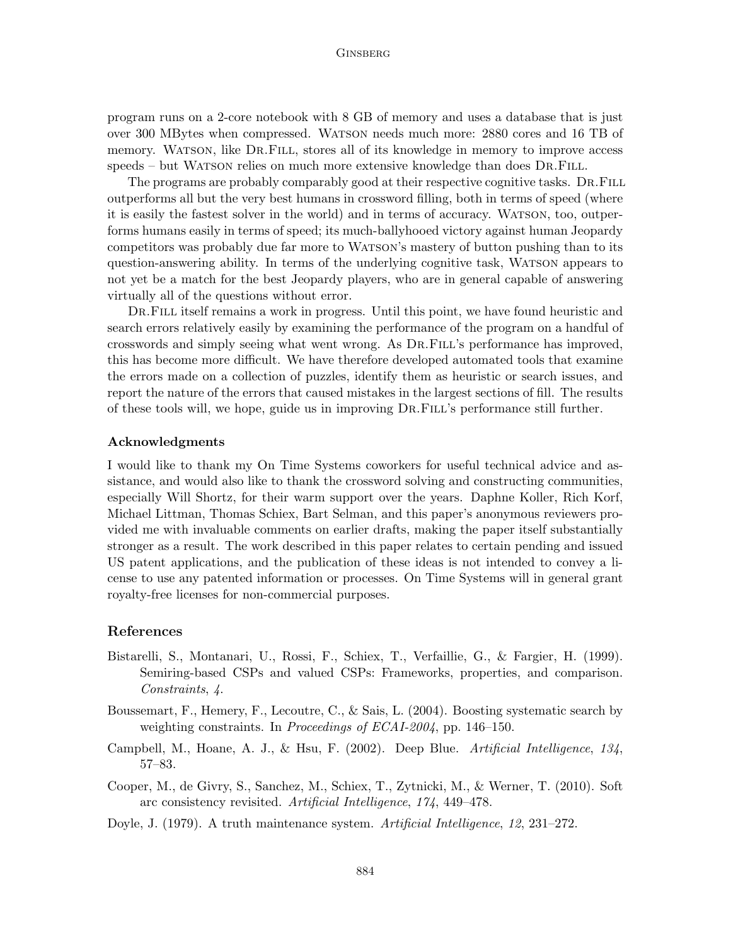program runs on a 2-core notebook with 8 GB of memory and uses a database that is just over 300 MBytes when compressed. Watson needs much more: 2880 cores and 16 TB of memory. WATSON, like DR.FILL, stores all of its knowledge in memory to improve access speeds – but WATSON relies on much more extensive knowledge than does DR.FILL.

The programs are probably comparably good at their respective cognitive tasks. DR.FILL outperforms all but the very best humans in crossword filling, both in terms of speed (where it is easily the fastest solver in the world) and in terms of accuracy. Watson, too, outperforms humans easily in terms of speed; its much-ballyhooed victory against human Jeopardy competitors was probably due far more to Watson's mastery of button pushing than to its question-answering ability. In terms of the underlying cognitive task, Watson appears to not yet be a match for the best Jeopardy players, who are in general capable of answering virtually all of the questions without error.

DR. FILL itself remains a work in progress. Until this point, we have found heuristic and search errors relatively easily by examining the performance of the program on a handful of crosswords and simply seeing what went wrong. As Dr.Fill's performance has improved, this has become more difficult. We have therefore developed automated tools that examine the errors made on a collection of puzzles, identify them as heuristic or search issues, and report the nature of the errors that caused mistakes in the largest sections of fill. The results of these tools will, we hope, guide us in improving Dr.Fill's performance still further.

#### Acknowledgments

I would like to thank my On Time Systems coworkers for useful technical advice and assistance, and would also like to thank the crossword solving and constructing communities, especially Will Shortz, for their warm support over the years. Daphne Koller, Rich Korf, Michael Littman, Thomas Schiex, Bart Selman, and this paper's anonymous reviewers provided me with invaluable comments on earlier drafts, making the paper itself substantially stronger as a result. The work described in this paper relates to certain pending and issued US patent applications, and the publication of these ideas is not intended to convey a license to use any patented information or processes. On Time Systems will in general grant royalty-free licenses for non-commercial purposes.

## References

- Bistarelli, S., Montanari, U., Rossi, F., Schiex, T., Verfaillie, G., & Fargier, H. (1999). Semiring-based CSPs and valued CSPs: Frameworks, properties, and comparison. Constraints, 4.
- Boussemart, F., Hemery, F., Lecoutre, C., & Sais, L. (2004). Boosting systematic search by weighting constraints. In *Proceedings of ECAI-2004*, pp. 146–150.
- Campbell, M., Hoane, A. J., & Hsu, F. (2002). Deep Blue. Artificial Intelligence, 134, 57–83.
- Cooper, M., de Givry, S., Sanchez, M., Schiex, T., Zytnicki, M., & Werner, T. (2010). Soft arc consistency revisited. Artificial Intelligence, 174, 449–478.
- Doyle, J. (1979). A truth maintenance system. Artificial Intelligence, 12, 231–272.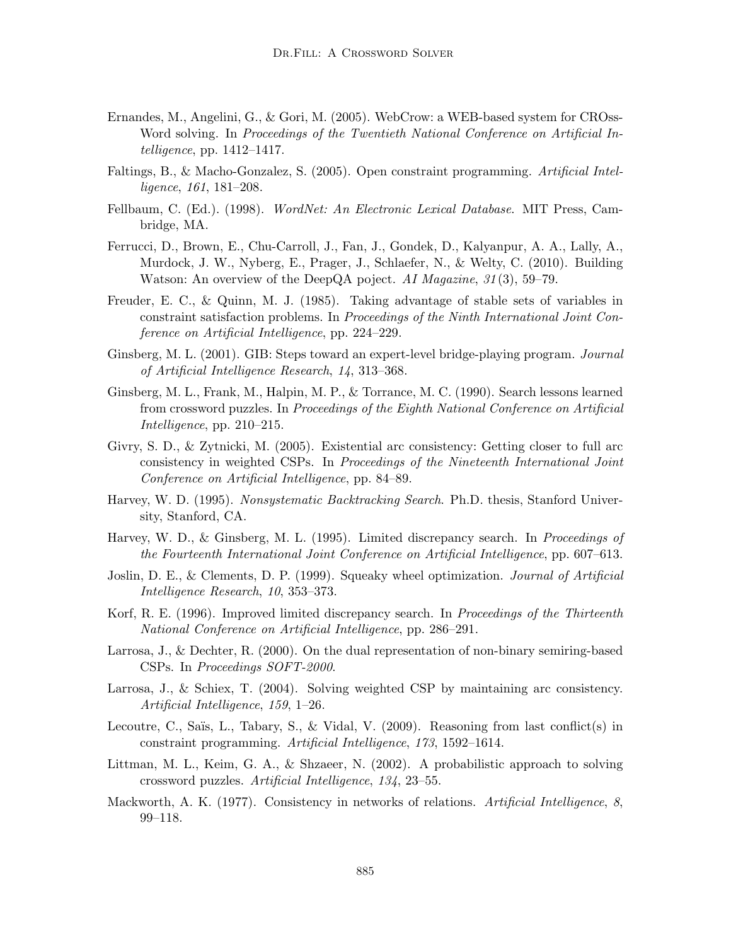- Ernandes, M., Angelini, G., & Gori, M. (2005). WebCrow: a WEB-based system for CROss-Word solving. In Proceedings of the Twentieth National Conference on Artificial Intelligence, pp. 1412–1417.
- Faltings, B., & Macho-Gonzalez, S. (2005). Open constraint programming. Artificial Intelligence, 161, 181–208.
- Fellbaum, C. (Ed.). (1998). WordNet: An Electronic Lexical Database. MIT Press, Cambridge, MA.
- Ferrucci, D., Brown, E., Chu-Carroll, J., Fan, J., Gondek, D., Kalyanpur, A. A., Lally, A., Murdock, J. W., Nyberg, E., Prager, J., Schlaefer, N., & Welty, C. (2010). Building Watson: An overview of the DeepQA poject. AI Magazine,  $31(3)$ , 59–79.
- Freuder, E. C., & Quinn, M. J. (1985). Taking advantage of stable sets of variables in constraint satisfaction problems. In Proceedings of the Ninth International Joint Conference on Artificial Intelligence, pp. 224–229.
- Ginsberg, M. L. (2001). GIB: Steps toward an expert-level bridge-playing program. Journal of Artificial Intelligence Research, 14, 313–368.
- Ginsberg, M. L., Frank, M., Halpin, M. P., & Torrance, M. C. (1990). Search lessons learned from crossword puzzles. In Proceedings of the Eighth National Conference on Artificial Intelligence, pp. 210–215.
- Givry, S. D., & Zytnicki, M. (2005). Existential arc consistency: Getting closer to full arc consistency in weighted CSPs. In Proceedings of the Nineteenth International Joint Conference on Artificial Intelligence, pp. 84–89.
- Harvey, W. D. (1995). Nonsystematic Backtracking Search. Ph.D. thesis, Stanford University, Stanford, CA.
- Harvey, W. D., & Ginsberg, M. L. (1995). Limited discrepancy search. In Proceedings of the Fourteenth International Joint Conference on Artificial Intelligence, pp. 607–613.
- Joslin, D. E., & Clements, D. P. (1999). Squeaky wheel optimization. Journal of Artificial Intelligence Research, 10, 353–373.
- Korf, R. E. (1996). Improved limited discrepancy search. In *Proceedings of the Thirteenth* National Conference on Artificial Intelligence, pp. 286–291.
- Larrosa, J., & Dechter, R. (2000). On the dual representation of non-binary semiring-based CSPs. In Proceedings SOFT-2000.
- Larrosa, J., & Schiex, T. (2004). Solving weighted CSP by maintaining arc consistency. Artificial Intelligence, 159, 1–26.
- Lecoutre, C., Saïs, L., Tabary, S., & Vidal, V.  $(2009)$ . Reasoning from last conflict(s) in constraint programming. Artificial Intelligence, 173, 1592–1614.
- Littman, M. L., Keim, G. A., & Shzaeer, N. (2002). A probabilistic approach to solving crossword puzzles. Artificial Intelligence, 134, 23–55.
- Mackworth, A. K. (1977). Consistency in networks of relations. Artificial Intelligence, 8, 99–118.